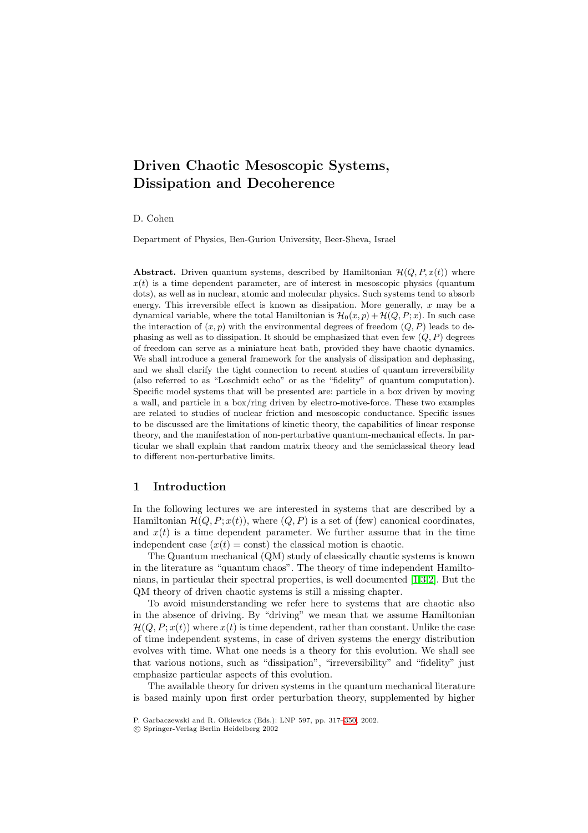# **Driven Chaotic Mesoscopic Systems, Dissipation and Decoherence**

D. Cohen

Department of Physics, Ben-Gurion University, Beer-Sheva, Israel

**Abstract.** Driven quantum systems, described by Hamiltonian  $\mathcal{H}(Q, P, x(t))$  where  $x(t)$  is a time dependent parameter, are of interest in mesoscopic physics (quantum dots), as well as in nuclear, atomic and molecular physics. Such systems tend to absorb energy. This irreversible effect is known as dissipation. More generally,  $x$  may be a dynamical variable, where the total Hamiltonian is  $\mathcal{H}_0(x, p) + \mathcal{H}(Q, P; x)$ . In such case the interaction of  $(x, p)$  with the environmental degrees of freedom  $(Q, P)$  leads to dephasing as well as to dissipation. It should be emphasized that even few  $(Q, P)$  degrees of freedom can serve as a miniature heat bath, provided they have chaotic dynamics. We shall introduce a general framework for the analysis of dissipation and dephasing, and we shall clarify the tight connection to recent studies of quantum irreversibility (also referred to as "Loschmidt echo" or as the "fidelity" of quantum computation). Specific model systems that will be presented are: particle in a box driven by moving a wall, and particle in a box/ring driven by electro-motive-force. These two examples are related to studies of nuclear friction and mesoscopic conductance. Specific issues to be discussed are the limitations of kinetic theory, the capabilities of linear response theory, and the manifestation of non-perturbative quantum-mechanical effects. In particular we shall explain that random matrix theory and the semiclassical theory lead to different non-perturbative limits.

### **1 Introduction**

In the following lectures we are interested in systems that are described by a Hamiltonian  $\mathcal{H}(Q, P; x(t))$ , where  $(Q, P)$  is a set of (few) canonical coordinates, and  $x(t)$  is a time dependent parameter. We further assume that in the time independent case  $(x(t) = \text{const})$  the classical motion is chaotic.

The Quantum mechanical (QM) study of classically chaotic systems is known in the literature as "quantum chaos". The theory of time independent Hamiltonians, in particular their spectral properties, is well documented [\[1,3,2\]](#page-31-0). But the QM theory of driven chaotic systems is still a missing chapter.

To avoid misunderstanding we refer here to systems that are chaotic also in the absence of driving. By "driving" we mean that we assume Hamiltonian  $\mathcal{H}(Q, P; x(t))$  where  $x(t)$  is time dependent, rather than constant. Unlike the case of time independent systems, in case of driven systems the energy distribution evolves with time. What one needs is a theory for this evolution. We shall see that various notions, such as "dissipation", "irreversibility" and "fidelity" just emphasize particular aspects of this evolution.

The available theory for driven systems in the quantum mechanical literature is based mainly upon first order perturbation theory, supplemented by higher

P. Garbaczewski and R. Olkiewicz (Eds.): LNP 597, pp. 317[–350,](#page-33-0) 2002.

c Springer-Verlag Berlin Heidelberg 2002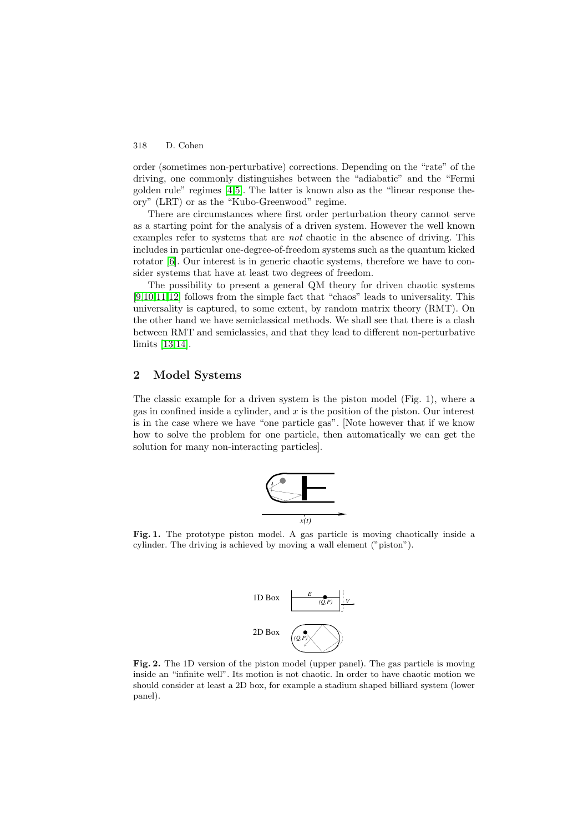order (sometimes non-perturbative) corrections. Depending on the "rate" of the driving, one commonly distinguishes between the "adiabatic" and the "Fermi golden rule" regimes [\[4,](#page-31-0)[5\]](#page-32-0). The latter is known also as the "linear response theory" (LRT) or as the "Kubo-Greenwood" regime.

There are circumstances where first order perturbation theory cannot serve as a starting point for the analysis of a driven system. However the well known examples refer to systems that are not chaotic in the absence of driving. This includes in particular one-degree-of-freedom systems such as the quantum kicked rotator [\[6\]](#page-32-0). Our interest is in generic chaotic systems, therefore we have to consider systems that have at least two degrees of freedom.

The possibility to present a general QM theory for driven chaotic systems [\[9,10,11,12\]](#page-32-0) follows from the simple fact that "chaos" leads to universality. This universality is captured, to some extent, by random matrix theory (RMT). On the other hand we have semiclassical methods. We shall see that there is a clash between RMT and semiclassics, and that they lead to different non-perturbative limits [\[13,14\]](#page-32-0).

### **2 Model Systems**

The classic example for a driven system is the piston model (Fig. 1), where a gas in confined inside a cylinder, and  $x$  is the position of the piston. Our interest is in the case where we have "one particle gas". [Note however that if we know how to solve the problem for one particle, then automatically we can get the solution for many non-interacting particles].



**Fig. 1.** The prototype piston model. A gas particle is moving chaotically inside a cylinder. The driving is achieved by moving a wall element ("piston").



**Fig. 2.** The 1D version of the piston model (upper panel). The gas particle is moving inside an "infinite well". Its motion is not chaotic. In order to have chaotic motion we should consider at least a 2D box, for example a stadium shaped billiard system (lower panel).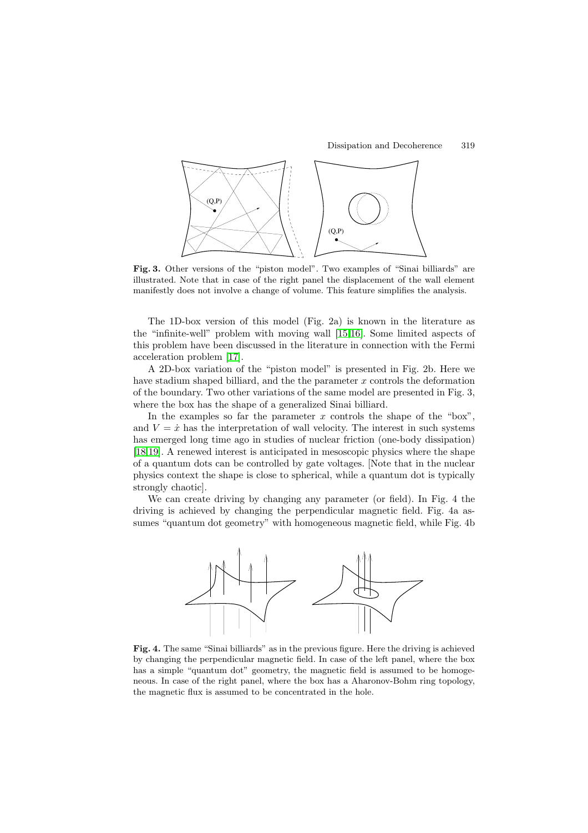

**Fig. 3.** Other versions of the "piston model". Two examples of "Sinai billiards" are illustrated. Note that in case of the right panel the displacement of the wall element manifestly does not involve a change of volume. This feature simplifies the analysis.

The 1D-box version of this model (Fig. 2a) is known in the literature as the "infinite-well" problem with moving wall [\[15,16\]](#page-32-0). Some limited aspects of this problem have been discussed in the literature in connection with the Fermi acceleration problem [\[17\]](#page-32-0).

A 2D-box variation of the "piston model" is presented in Fig. 2b. Here we have stadium shaped billiard, and the the parameter  $x$  controls the deformation of the boundary. Two other variations of the same model are presented in Fig. 3, where the box has the shape of a generalized Sinai billiard.

In the examples so far the parameter  $x$  controls the shape of the "box", and  $V = \dot{x}$  has the interpretation of wall velocity. The interest in such systems has emerged long time ago in studies of nuclear friction (one-body dissipation) [\[18,19\]](#page-32-0). A renewed interest is anticipated in mesoscopic physics where the shape of a quantum dots can be controlled by gate voltages. [Note that in the nuclear physics context the shape is close to spherical, while a quantum dot is typically strongly chaotic].

We can create driving by changing any parameter (or field). In Fig. 4 the driving is achieved by changing the perpendicular magnetic field. Fig. 4a assumes "quantum dot geometry" with homogeneous magnetic field, while Fig. 4b



**Fig. 4.** The same "Sinai billiards" as in the previous figure. Here the driving is achieved by changing the perpendicular magnetic field. In case of the left panel, where the box has a simple "quantum dot" geometry, the magnetic field is assumed to be homogeneous. In case of the right panel, where the box has a Aharonov-Bohm ring topology, the magnetic flux is assumed to be concentrated in the hole.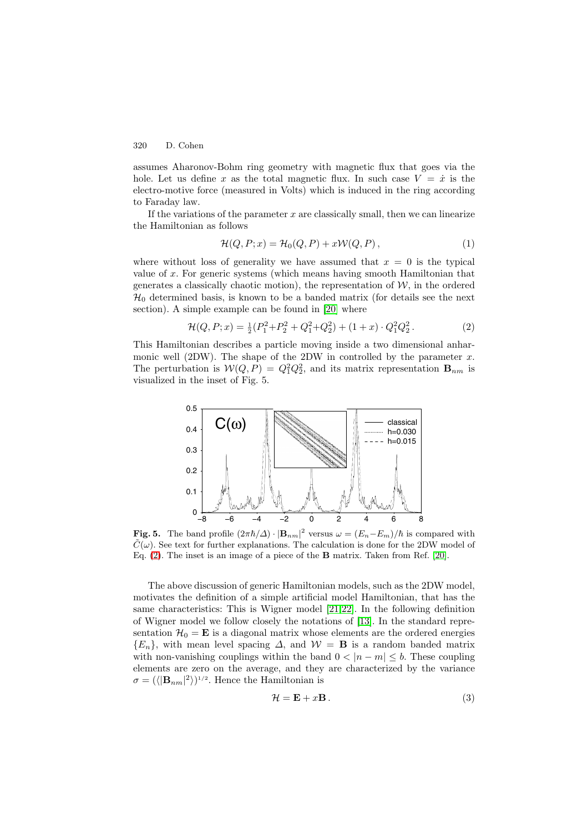#### <span id="page-3-0"></span>320 D. Cohen

assumes Aharonov-Bohm ring geometry with magnetic flux that goes via the hole. Let us define x as the total magnetic flux. In such case  $V = \dot{x}$  is the electro-motive force (measured in Volts) which is induced in the ring according to Faraday law.

If the variations of the parameter  $x$  are classically small, then we can linearize the Hamiltonian as follows

$$
\mathcal{H}(Q, P; x) = \mathcal{H}_0(Q, P) + x \mathcal{W}(Q, P) , \qquad (1)
$$

where without loss of generality we have assumed that  $x = 0$  is the typical value of x. For generic systems (which means having smooth Hamiltonian that generates a classically chaotic motion), the representation of  $W$ , in the ordered  $\mathcal{H}_0$  determined basis, is known to be a banded matrix (for details see the next section). A simple example can be found in [\[20\]](#page-32-0) where

$$
\mathcal{H}(Q, P; x) = \frac{1}{2}(P_1^2 + P_2^2 + Q_1^2 + Q_2^2) + (1+x) \cdot Q_1^2 Q_2^2.
$$
 (2)

This Hamiltonian describes a particle moving inside a two dimensional anharmonic well (2DW). The shape of the 2DW in controlled by the parameter  $x$ . The perturbation is  $W(Q, P) = Q_1^2 Q_2^2$ , and its matrix representation **B**<sub>nm</sub> is visualized in the inset of Fig. 5.



**Fig. 5.** The band profile  $(2\pi\hbar/\Delta) \cdot |\mathbf{B}_{nm}|^2$  versus  $\omega = (E_n - E_m)/\hbar$  is compared with  $C(\omega)$ . See text for further explanations. The calculation is done for the 2DW model of Eq. (2). The inset is an image of a piece of the **B** matrix. Taken from Ref. [\[20\]](#page-32-0).

The above discussion of generic Hamiltonian models, such as the 2DW model, motivates the definition of a simple artificial model Hamiltonian, that has the same characteristics: This is Wigner model [\[21,22\]](#page-32-0). In the following definition of Wigner model we follow closely the notations of [\[13\]](#page-32-0). In the standard representation  $\mathcal{H}_0 = \mathbf{E}$  is a diagonal matrix whose elements are the ordered energies  ${E_n}$ , with mean level spacing  $\Delta$ , and  $W = B$  is a random banded matrix with non-vanishing couplings within the band  $0 < |n - m| \leq b$ . These coupling elements are zero on the average, and they are characterized by the variance  $\sigma = (\langle |\mathbf{B}_{nm}|^2 \rangle)^{1/2}$ . Hence the Hamiltonian is

$$
\mathcal{H} = \mathbf{E} + x\mathbf{B} \,. \tag{3}
$$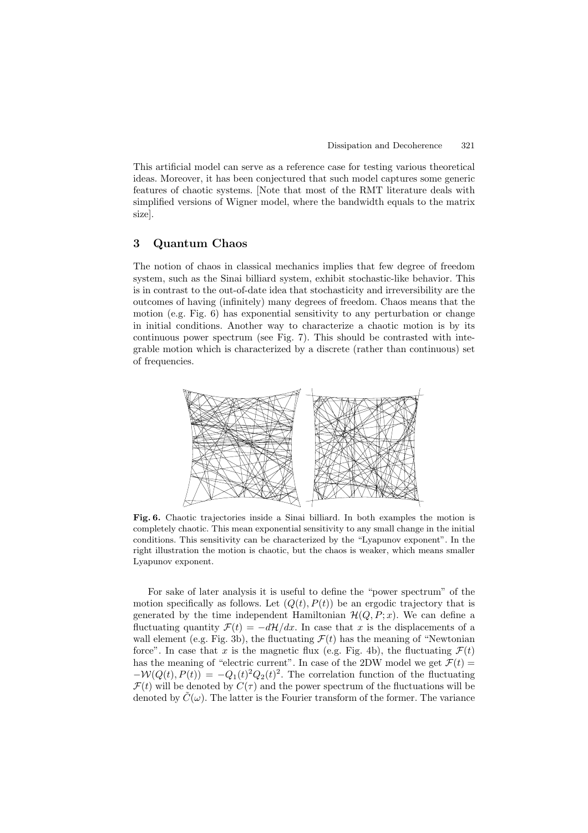This artificial model can serve as a reference case for testing various theoretical ideas. Moreover, it has been conjectured that such model captures some generic features of chaotic systems. [Note that most of the RMT literature deals with simplified versions of Wigner model, where the bandwidth equals to the matrix size].

### **3 Quantum Chaos**

The notion of chaos in classical mechanics implies that few degree of freedom system, such as the Sinai billiard system, exhibit stochastic-like behavior. This is in contrast to the out-of-date idea that stochasticity and irreversibility are the outcomes of having (infinitely) many degrees of freedom. Chaos means that the motion (e.g. Fig. 6) has exponential sensitivity to any perturbation or change in initial conditions. Another way to characterize a chaotic motion is by its continuous power spectrum (see Fig. 7). This should be contrasted with integrable motion which is characterized by a discrete (rather than continuous) set of frequencies.



**Fig. 6.** Chaotic trajectories inside a Sinai billiard. In both examples the motion is completely chaotic. This mean exponential sensitivity to any small change in the initial conditions. This sensitivity can be characterized by the "Lyapunov exponent". In the right illustration the motion is chaotic, but the chaos is weaker, which means smaller Lyapunov exponent.

For sake of later analysis it is useful to define the "power spectrum" of the motion specifically as follows. Let  $(Q(t), P(t))$  be an ergodic trajectory that is generated by the time independent Hamiltonian  $\mathcal{H}(Q, P; x)$ . We can define a fluctuating quantity  $\mathcal{F}(t) = -d\mathcal{H}/dx$ . In case that x is the displacements of a wall element (e.g. Fig. 3b), the fluctuating  $\mathcal{F}(t)$  has the meaning of "Newtonian" force". In case that x is the magnetic flux (e.g. Fig. 4b), the fluctuating  $\mathcal{F}(t)$ has the meaning of "electric current". In case of the 2DW model we get  $\mathcal{F}(t)$  =  $-V(Q(t), P(t)) = -Q_1(t)^2 Q_2(t)^2$ . The correlation function of the fluctuating  $\mathcal{F}(t)$  will be denoted by  $C(\tau)$  and the power spectrum of the fluctuations will be denoted by  $C(\omega)$ . The latter is the Fourier transform of the former. The variance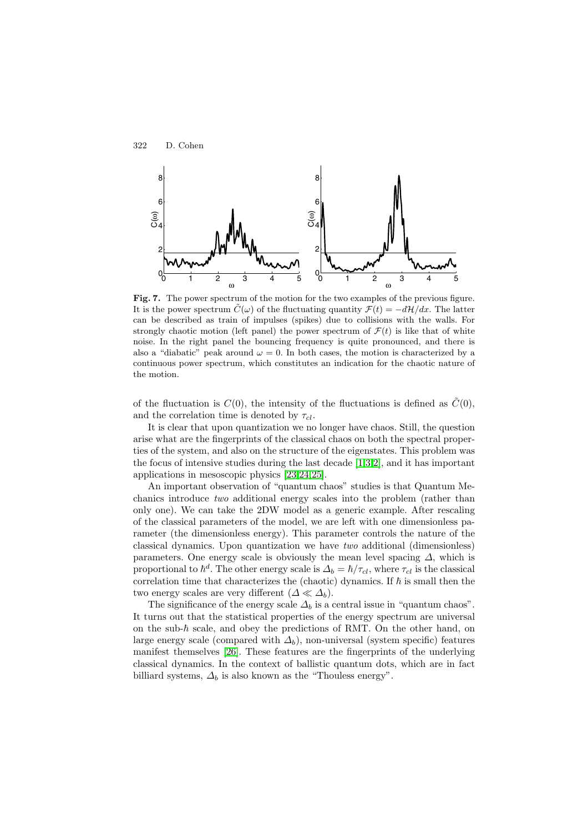

**Fig. 7.** The power spectrum of the motion for the two examples of the previous figure. It is the power spectrum  $\tilde{C}(\omega)$  of the fluctuating quantity  $\mathcal{F}(t) = -d\mathcal{H}/dx$ . The latter can be described as train of impulses (spikes) due to collisions with the walls. For strongly chaotic motion (left panel) the power spectrum of  $\mathcal{F}(t)$  is like that of white noise. In the right panel the bouncing frequency is quite pronounced, and there is also a "diabatic" peak around  $\omega = 0$ . In both cases, the motion is characterized by a continuous power spectrum, which constitutes an indication for the chaotic nature of the motion.

of the fluctuation is  $C(0)$ , the intensity of the fluctuations is defined as  $C(0)$ , and the correlation time is denoted by  $\tau_{cl}$ .

It is clear that upon quantization we no longer have chaos. Still, the question arise what are the fingerprints of the classical chaos on both the spectral properties of the system, and also on the structure of the eigenstates. This problem was the focus of intensive studies during the last decade  $[1,3,2]$ , and it has important applications in mesoscopic physics [\[23,24,25\]](#page-32-0).

An important observation of "quantum chaos" studies is that Quantum Mechanics introduce two additional energy scales into the problem (rather than only one). We can take the 2DW model as a generic example. After rescaling of the classical parameters of the model, we are left with one dimensionless parameter (the dimensionless energy). This parameter controls the nature of the classical dynamics. Upon quantization we have two additional (dimensionless) parameters. One energy scale is obviously the mean level spacing  $\Delta$ , which is proportional to  $\hbar^d$ . The other energy scale is  $\Delta_b = \hbar / \tau_{cl}$ , where  $\tau_{cl}$  is the classical correlation time that characterizes the (chaotic) dynamics. If  $\hbar$  is small then the two energy scales are very different  $(\Delta \ll \Delta_b)$ .

The significance of the energy scale  $\Delta_b$  is a central issue in "quantum chaos". It turns out that the statistical properties of the energy spectrum are universal on the sub- $\hbar$  scale, and obey the predictions of RMT. On the other hand, on large energy scale (compared with  $\Delta_b$ ), non-universal (system specific) features manifest themselves [\[26\]](#page-32-0). These features are the fingerprints of the underlying classical dynamics. In the context of ballistic quantum dots, which are in fact billiard systems,  $\Delta_b$  is also known as the "Thouless energy".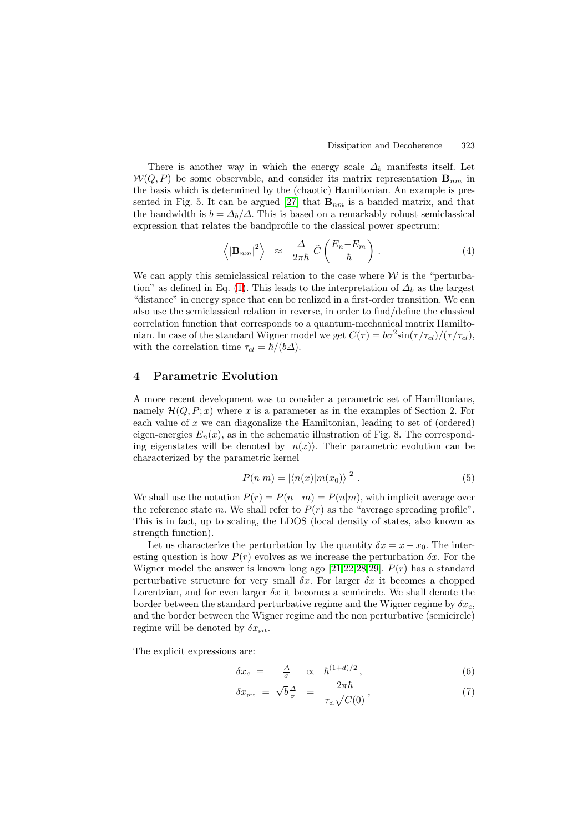<span id="page-6-0"></span>There is another way in which the energy scale  $\Delta_b$  manifests itself. Let  $W(Q, P)$  be some observable, and consider its matrix representation  $\mathbf{B}_{nm}$  in the basis which is determined by the (chaotic) Hamiltonian. An example is pre-sented in Fig. 5. It can be argued [\[27\]](#page-32-0) that  $\mathbf{B}_{nm}$  is a banded matrix, and that the bandwidth is  $b = \Delta_b/\Delta$ . This is based on a remarkably robust semiclassical expression that relates the bandprofile to the classical power spectrum:

$$
\left\langle |\mathbf{B}_{nm}|^2 \right\rangle \approx \frac{\Delta}{2\pi\hbar} \,\tilde{C} \left( \frac{E_n - E_m}{\hbar} \right) . \tag{4}
$$

We can apply this semiclassical relation to the case where  $W$  is the "perturba-tion" as defined in Eq. [\(1\)](#page-3-0). This leads to the interpretation of  $\Delta_b$  as the largest "distance" in energy space that can be realized in a first-order transition. We can also use the semiclassical relation in reverse, in order to find/define the classical correlation function that corresponds to a quantum-mechanical matrix Hamiltonian. In case of the standard Wigner model we get  $C(\tau) = b\sigma^2 \sin(\tau/\tau_{cl})/(\tau/\tau_{cl})$ , with the correlation time  $\tau_{cl} = \hbar/(b\Delta)$ .

#### **4 Parametric Evolution**

A more recent development was to consider a parametric set of Hamiltonians, namely  $\mathcal{H}(Q, P; x)$  where x is a parameter as in the examples of Section 2. For each value of  $x$  we can diagonalize the Hamiltonian, leading to set of (ordered) eigen-energies  $E_n(x)$ , as in the schematic illustration of Fig. 8. The corresponding eigenstates will be denoted by  $|n(x)\rangle$ . Their parametric evolution can be characterized by the parametric kernel

$$
P(n|m) = |\langle n(x)|m(x_0)\rangle|^2.
$$
 (5)

We shall use the notation  $P(r) = P(n-m) = P(n|m)$ , with implicit average over the reference state m. We shall refer to  $P(r)$  as the "average spreading profile". This is in fact, up to scaling, the LDOS (local density of states, also known as strength function).

Let us characterize the perturbation by the quantity  $\delta x = x - x_0$ . The interesting question is how  $P(r)$  evolves as we increase the perturbation  $\delta x$ . For the Wigner model the answer is known long ago  $[21,22,28,29]$ .  $P(r)$  has a standard perturbative structure for very small  $\delta x$ . For larger  $\delta x$  it becomes a chopped Lorentzian, and for even larger  $\delta x$  it becomes a semicircle. We shall denote the border between the standard perturbative regime and the Wigner regime by  $\delta x_c$ , and the border between the Wigner regime and the non perturbative (semicircle) regime will be denoted by  $\delta x_{\text{prt}}$ .

The explicit expressions are:

$$
\delta x_c = \frac{\Delta}{\sigma} \propto \hbar^{(1+d)/2}, \qquad (6)
$$

$$
\delta x_{\rm pt} = \sqrt{b} \frac{\Delta}{\sigma} = \frac{2\pi\hbar}{\tau_{\rm cl}\sqrt{C(0)}},\tag{7}
$$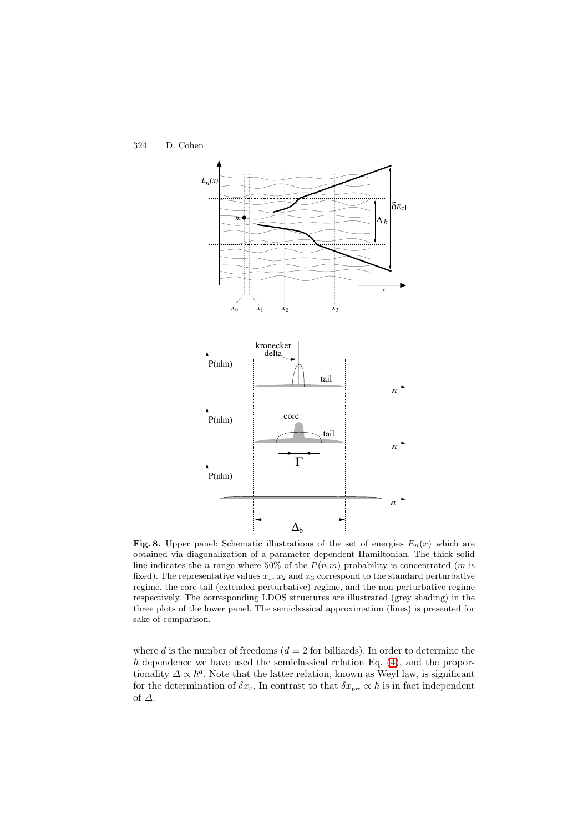

**Fig. 8.** Upper panel: Schematic illustrations of the set of energies  $E_n(x)$  which are obtained via diagonalization of a parameter dependent Hamiltonian. The thick solid line indicates the n-range where 50% of the  $P(n|m)$  probability is concentrated (m is fixed). The representative values  $x_1, x_2$  and  $x_3$  correspond to the standard perturbative regime, the core-tail (extended perturbative) regime, and the non-perturbative regime respectively. The corresponding LDOS structures are illustrated (grey shading) in the three plots of the lower panel. The semiclassical approximation (lines) is presented for sake of comparison.

where d is the number of freedoms  $(d = 2$  for billiards). In order to determine the  $\hbar$  dependence we have used the semiclassical relation Eq. [\(4\)](#page-6-0), and the proportionality  $\Delta \propto \hbar^d$ . Note that the latter relation, known as Weyl law, is significant for the determination of  $\delta x_c$ . In contrast to that  $\delta x_{\text{prt}} \propto \hbar$  is in fact independent of  $\Delta$ .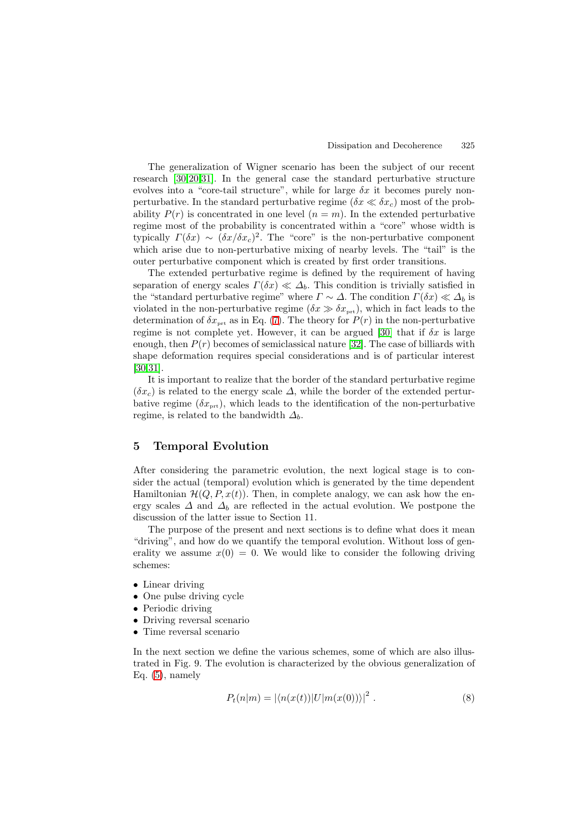The generalization of Wigner scenario has been the subject of our recent research [\[30,20,31\]](#page-32-0). In the general case the standard perturbative structure evolves into a "core-tail structure", while for large  $\delta x$  it becomes purely nonperturbative. In the standard perturbative regime ( $\delta x \ll \delta x_c$ ) most of the probability  $P(r)$  is concentrated in one level  $(n = m)$ . In the extended perturbative regime most of the probability is concentrated within a "core" whose width is typically  $\Gamma(\delta x) \sim (\delta x/\delta x_c)^2$ . The "core" is the non-perturbative component which arise due to non-perturbative mixing of nearby levels. The "tail" is the outer perturbative component which is created by first order transitions.

The extended perturbative regime is defined by the requirement of having separation of energy scales  $\Gamma(\delta x) \ll \Delta_b$ . This condition is trivially satisfied in the "standard perturbative regime" where  $\Gamma \sim \Delta$ . The condition  $\Gamma(\delta x) \ll \Delta_b$  is violated in the non-perturbative regime ( $\delta x \gg \delta x_{\text{ort}}$ ), which in fact leads to the determination of  $\delta x_{\text{prt}}$  as in Eq. [\(7\)](#page-6-0). The theory for  $P(r)$  in the non-perturbative regime is not complete yet. However, it can be argued [\[30\]](#page-32-0) that if  $\delta x$  is large enough, then  $P(r)$  becomes of semiclassical nature [\[32\]](#page-32-0). The case of billiards with shape deformation requires special considerations and is of particular interest [\[30,31\]](#page-32-0).

It is important to realize that the border of the standard perturbative regime  $(\delta x_c)$  is related to the energy scale  $\Delta$ , while the border of the extended perturbative regime  $(\delta x_{\text{prt}})$ , which leads to the identification of the non-perturbative regime, is related to the bandwidth  $\Delta_b$ .

#### **5 Temporal Evolution**

After considering the parametric evolution, the next logical stage is to consider the actual (temporal) evolution which is generated by the time dependent Hamiltonian  $\mathcal{H}(Q, P, x(t))$ . Then, in complete analogy, we can ask how the energy scales  $\Delta$  and  $\Delta_b$  are reflected in the actual evolution. We postpone the discussion of the latter issue to Section 11.

The purpose of the present and next sections is to define what does it mean "driving", and how do we quantify the temporal evolution. Without loss of generality we assume  $x(0) = 0$ . We would like to consider the following driving schemes:

- Linear driving
- One pulse driving cycle
- Periodic driving
- Driving reversal scenario
- Time reversal scenario

In the next section we define the various schemes, some of which are also illustrated in Fig. 9. The evolution is characterized by the obvious generalization of Eq.  $(5)$ , namely

$$
P_t(n|m) = |\langle n(x(t))|U|m(x(0))\rangle|^2.
$$
 (8)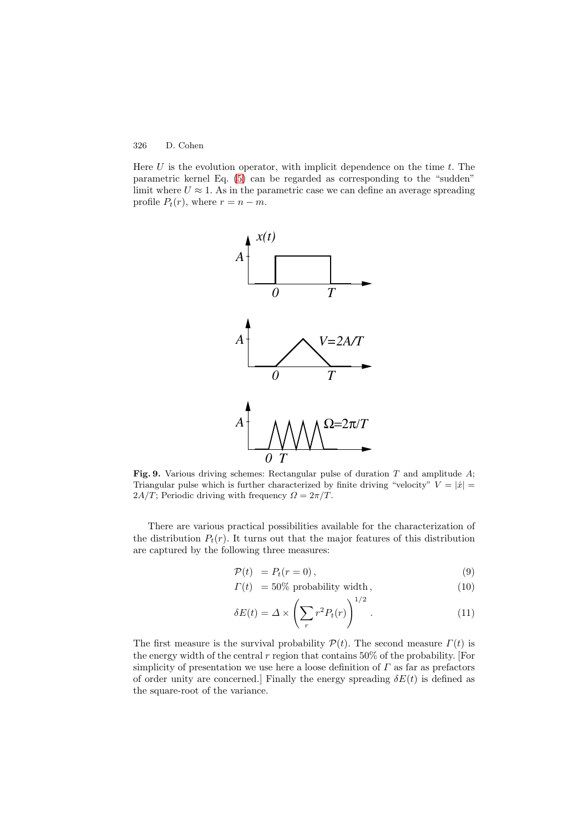#### <span id="page-9-0"></span>326 D. Cohen

Here  $U$  is the evolution operator, with implicit dependence on the time  $t$ . The parametric kernel Eq. [\(5\)](#page-6-0) can be regarded as corresponding to the "sudden" limit where  $U \approx 1$ . As in the parametric case we can define an average spreading profile  $P_t(r)$ , where  $r = n - m$ .



**Fig. 9.** Various driving schemes: Rectangular pulse of duration T and amplitude A; Triangular pulse which is further characterized by finite driving "velocity"  $V = |\dot{x}| =$  $2A/T$ ; Periodic driving with frequency  $\Omega = 2\pi/T$ .

There are various practical possibilities available for the characterization of the distribution  $P_t(r)$ . It turns out that the major features of this distribution are captured by the following three measures:

$$
\mathcal{P}(t) = P_t(r=0),\tag{9}
$$

$$
\Gamma(t) = 50\% \text{ probability width}, \qquad (10)
$$

$$
\delta E(t) = \Delta \times \left(\sum_{r} r^2 P_t(r)\right)^{1/2}.
$$
 (11)

The first measure is the survival probability  $P(t)$ . The second measure  $\Gamma(t)$  is the energy width of the central r region that contains 50% of the probability. [For simplicity of presentation we use here a loose definition of  $\Gamma$  as far as prefactors of order unity are concerned.] Finally the energy spreading  $\delta E(t)$  is defined as the square-root of the variance.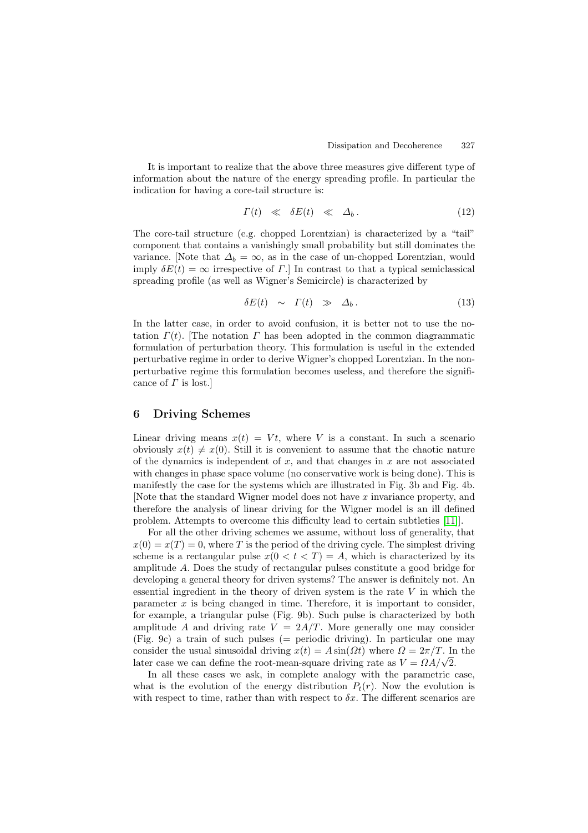It is important to realize that the above three measures give different type of information about the nature of the energy spreading profile. In particular the indication for having a core-tail structure is:

$$
\Gamma(t) \ll \delta E(t) \ll \Delta_b. \tag{12}
$$

The core-tail structure (e.g. chopped Lorentzian) is characterized by a "tail" component that contains a vanishingly small probability but still dominates the variance. [Note that  $\Delta_b = \infty$ , as in the case of un-chopped Lorentzian, would imply  $\delta E(t) = \infty$  irrespective of Γ.] In contrast to that a typical semiclassical spreading profile (as well as Wigner's Semicircle) is characterized by

$$
\delta E(t) \sim \Gamma(t) \gg \Delta_b. \tag{13}
$$

In the latter case, in order to avoid confusion, it is better not to use the notation  $\Gamma(t)$ . [The notation  $\Gamma$  has been adopted in the common diagrammatic formulation of perturbation theory. This formulation is useful in the extended perturbative regime in order to derive Wigner's chopped Lorentzian. In the nonperturbative regime this formulation becomes useless, and therefore the significance of  $\Gamma$  is lost.]

#### **6 Driving Schemes**

Linear driving means  $x(t) = Vt$ , where V is a constant. In such a scenario obviously  $x(t) \neq x(0)$ . Still it is convenient to assume that the chaotic nature of the dynamics is independent of  $x$ , and that changes in  $x$  are not associated with changes in phase space volume (no conservative work is being done). This is manifestly the case for the systems which are illustrated in Fig. 3b and Fig. 4b. [Note that the standard Wigner model does not have x invariance property, and therefore the analysis of linear driving for the Wigner model is an ill defined problem. Attempts to overcome this difficulty lead to certain subtleties [\[11\]](#page-32-0)].

For all the other driving schemes we assume, without loss of generality, that  $x(0) = x(T) = 0$ , where T is the period of the driving cycle. The simplest driving scheme is a rectangular pulse  $x(0 < t < T) = A$ , which is characterized by its amplitude A. Does the study of rectangular pulses constitute a good bridge for developing a general theory for driven systems? The answer is definitely not. An essential ingredient in the theory of driven system is the rate V in which the parameter x is being changed in time. Therefore, it is important to consider, for example, a triangular pulse (Fig. 9b). Such pulse is characterized by both amplitude A and driving rate  $V = 2A/T$ . More generally one may consider (Fig. 9c) a train of such pulses (= periodic driving). In particular one may consider the usual sinusoidal driving  $x(t) = A \sin(\Omega t)$  where  $\Omega = 2\pi/T$ . In the later case we can define the root-mean-square driving rate as  $V = \Omega A / \sqrt{2}$ .

In all these cases we ask, in complete analogy with the parametric case, what is the evolution of the energy distribution  $P_t(r)$ . Now the evolution is with respect to time, rather than with respect to  $\delta x$ . The different scenarios are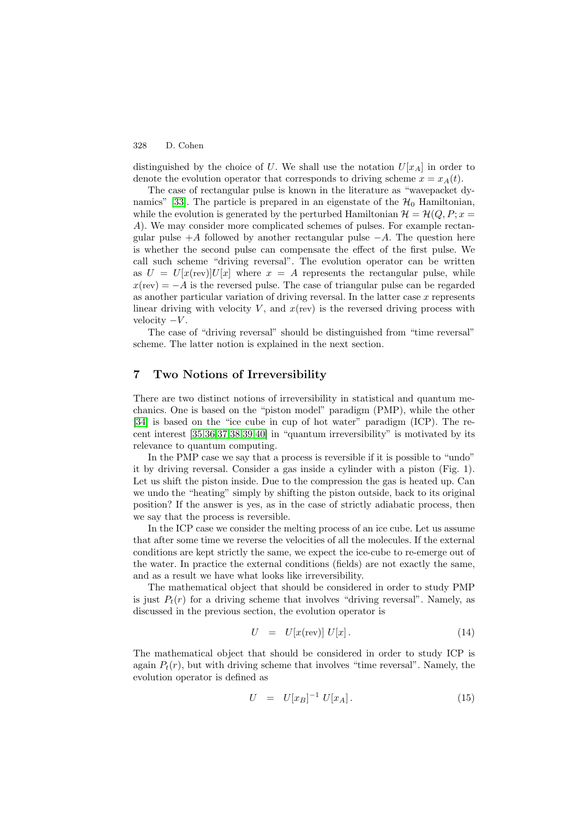<span id="page-11-0"></span>distinguished by the choice of U. We shall use the notation  $U[x_A]$  in order to denote the evolution operator that corresponds to driving scheme  $x = x<sub>A</sub>(t)$ .

The case of rectangular pulse is known in the literature as "wavepacket dy-namics" [\[33\]](#page-32-0). The particle is prepared in an eigenstate of the  $\mathcal{H}_0$  Hamiltonian, while the evolution is generated by the perturbed Hamiltonian  $\mathcal{H} = \mathcal{H}(Q, P; x = 0)$ A). We may consider more complicated schemes of pulses. For example rectangular pulse  $+A$  followed by another rectangular pulse  $-A$ . The question here is whether the second pulse can compensate the effect of the first pulse. We call such scheme "driving reversal". The evolution operator can be written as  $U = U[x(\text{rev})]U[x]$  where  $x = A$  represents the rectangular pulse, while  $x(\text{rev}) = -A$  is the reversed pulse. The case of triangular pulse can be regarded as another particular variation of driving reversal. In the latter case  $x$  represents linear driving with velocity  $V$ , and  $x$ (rev) is the reversed driving process with velocity  $-V$ .

The case of "driving reversal" should be distinguished from "time reversal" scheme. The latter notion is explained in the next section.

#### **7 Two Notions of Irreversibility**

There are two distinct notions of irreversibility in statistical and quantum mechanics. One is based on the "piston model" paradigm (PMP), while the other [\[34\]](#page-32-0) is based on the "ice cube in cup of hot water" paradigm (ICP). The recent interest [\[35,36,37,38,39,40\]](#page-33-0) in "quantum irreversibility" is motivated by its relevance to quantum computing.

In the PMP case we say that a process is reversible if it is possible to "undo" it by driving reversal. Consider a gas inside a cylinder with a piston (Fig. 1). Let us shift the piston inside. Due to the compression the gas is heated up. Can we undo the "heating" simply by shifting the piston outside, back to its original position? If the answer is yes, as in the case of strictly adiabatic process, then we say that the process is reversible.

In the ICP case we consider the melting process of an ice cube. Let us assume that after some time we reverse the velocities of all the molecules. If the external conditions are kept strictly the same, we expect the ice-cube to re-emerge out of the water. In practice the external conditions (fields) are not exactly the same, and as a result we have what looks like irreversibility.

The mathematical object that should be considered in order to study PMP is just  $P_t(r)$  for a driving scheme that involves "driving reversal". Namely, as discussed in the previous section, the evolution operator is

$$
U = U[x(\text{rev})] U[x]. \qquad (14)
$$

The mathematical object that should be considered in order to study ICP is again  $P_t(r)$ , but with driving scheme that involves "time reversal". Namely, the evolution operator is defined as

$$
U = U[x_B]^{-1} U[x_A]. \tag{15}
$$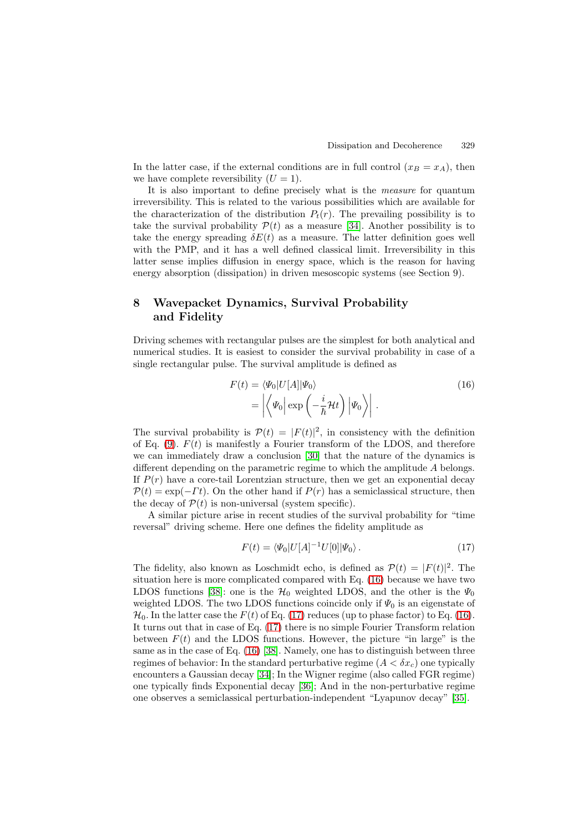<span id="page-12-0"></span>In the latter case, if the external conditions are in full control  $(x_B = x_A)$ , then we have complete reversibility  $(U = 1)$ .

It is also important to define precisely what is the measure for quantum irreversibility. This is related to the various possibilities which are available for the characterization of the distribution  $P_t(r)$ . The prevailing possibility is to take the survival probability  $\mathcal{P}(t)$  as a measure [\[34\]](#page-32-0). Another possibility is to take the energy spreading  $\delta E(t)$  as a measure. The latter definition goes well with the PMP, and it has a well defined classical limit. Irreversibility in this latter sense implies diffusion in energy space, which is the reason for having energy absorption (dissipation) in driven mesoscopic systems (see Section 9).

# **8 Wavepacket Dynamics, Survival Probability and Fidelity**

Driving schemes with rectangular pulses are the simplest for both analytical and numerical studies. It is easiest to consider the survival probability in case of a single rectangular pulse. The survival amplitude is defined as

$$
F(t) = \langle \Psi_0 | U[A] | \Psi_0 \rangle
$$
  
=  $\left| \left\langle \Psi_0 | \exp\left(-\frac{i}{\hbar} \mathcal{H} t\right) | \Psi_0 \right\rangle \right|$ . (16)

The survival probability is  $P(t) = |F(t)|^2$ , in consistency with the definition of Eq.  $(9)$ .  $F(t)$  is manifestly a Fourier transform of the LDOS, and therefore we can immediately draw a conclusion [\[30\]](#page-32-0) that the nature of the dynamics is different depending on the parametric regime to which the amplitude A belongs. If  $P(r)$  have a core-tail Lorentzian structure, then we get an exponential decay  $\mathcal{P}(t) = \exp(-\Gamma t)$ . On the other hand if  $P(r)$  has a semiclassical structure, then the decay of  $\mathcal{P}(t)$  is non-universal (system specific).

A similar picture arise in recent studies of the survival probability for "time reversal" driving scheme. Here one defines the fidelity amplitude as

$$
F(t) = \langle \Psi_0 | U[A]^{-1} U[0] | \Psi_0 \rangle. \tag{17}
$$

The fidelity, also known as Loschmidt echo, is defined as  $\mathcal{P}(t) = |F(t)|^2$ . The situation here is more complicated compared with Eq. (16) because we have two LDOS functions [\[38\]](#page-33-0): one is the  $\mathcal{H}_0$  weighted LDOS, and the other is the  $\Psi_0$ weighted LDOS. The two LDOS functions coincide only if  $\Psi_0$  is an eigenstate of  $\mathcal{H}_0$ . In the latter case the  $F(t)$  of Eq. (17) reduces (up to phase factor) to Eq. (16). It turns out that in case of Eq. (17) there is no simple Fourier Transform relation between  $F(t)$  and the LDOS functions. However, the picture "in large" is the same as in the case of Eq. (16) [\[38\]](#page-33-0). Namely, one has to distinguish between three regimes of behavior: In the standard perturbative regime  $(A < \delta x_c)$  one typically encounters a Gaussian decay [\[34\]](#page-32-0); In the Wigner regime (also called FGR regime) one typically finds Exponential decay [\[36\]](#page-33-0); And in the non-perturbative regime one observes a semiclassical perturbation-independent "Lyapunov decay" [\[35\]](#page-33-0).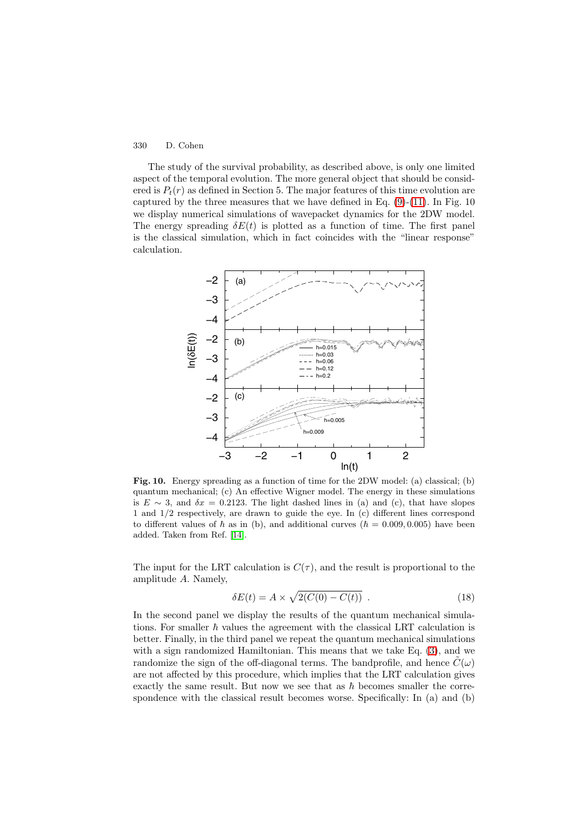#### <span id="page-13-0"></span>330 D. Cohen

The study of the survival probability, as described above, is only one limited aspect of the temporal evolution. The more general object that should be considered is  $P_t(r)$  as defined in Section 5. The major features of this time evolution are captured by the three measures that we have defined in Eq. [\(9\)](#page-9-0)-[\(11\)](#page-9-0). In Fig. 10 we display numerical simulations of wavepacket dynamics for the 2DW model. The energy spreading  $\delta E(t)$  is plotted as a function of time. The first panel is the classical simulation, which in fact coincides with the "linear response" calculation.



**Fig. 10.** Energy spreading as a function of time for the 2DW model: (a) classical; (b) quantum mechanical; (c) An effective Wigner model. The energy in these simulations is  $E \sim 3$ , and  $\delta x = 0.2123$ . The light dashed lines in (a) and (c), that have slopes 1 and 1/2 respectively, are drawn to guide the eye. In (c) different lines correspond to different values of  $\hbar$  as in (b), and additional curves ( $\hbar = 0.009, 0.005$ ) have been added. Taken from Ref. [\[14\]](#page-32-0).

The input for the LRT calculation is  $C(\tau)$ , and the result is proportional to the amplitude A. Namely,

$$
\delta E(t) = A \times \sqrt{2(C(0) - C(t))} . \tag{18}
$$

In the second panel we display the results of the quantum mechanical simulations. For smaller  $\hbar$  values the agreement with the classical LRT calculation is better. Finally, in the third panel we repeat the quantum mechanical simulations with a sign randomized Hamiltonian. This means that we take Eq. [\(3\)](#page-3-0), and we randomize the sign of the off-diagonal terms. The bandprofile, and hence  $C(\omega)$ are not affected by this procedure, which implies that the LRT calculation gives exactly the same result. But now we see that as  $\hbar$  becomes smaller the correspondence with the classical result becomes worse. Specifically: In (a) and (b)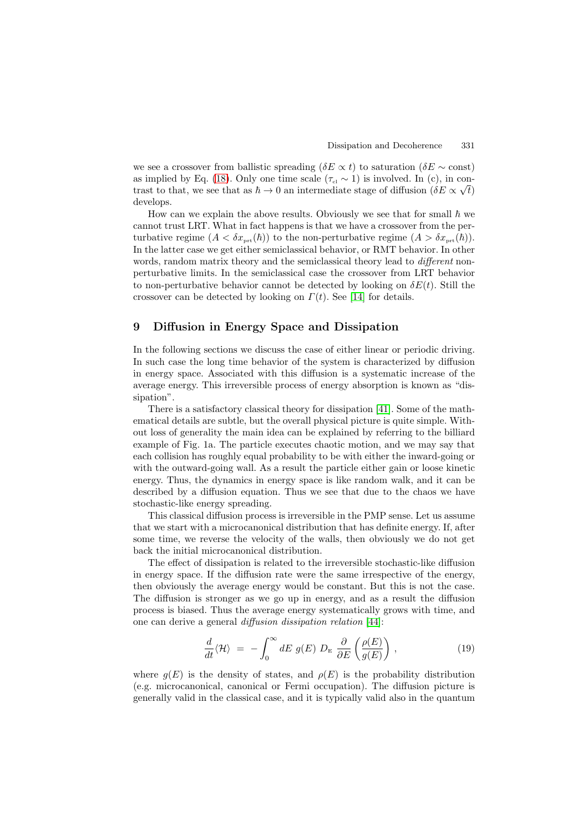<span id="page-14-0"></span>we see a crossover from ballistic spreading ( $\delta E \propto t$ ) to saturation ( $\delta E \sim$  const) as implied by Eq. [\(18\)](#page-13-0). Only one time scale ( $\tau_{cl} \sim 1$ ) is involved. In (c), in contrast to that, we see that as  $\hbar \to 0$  an intermediate stage of diffusion  $(\delta E \propto \sqrt{t})$ develops.

How can we explain the above results. Obviously we see that for small  $\hbar$  we cannot trust LRT. What in fact happens is that we have a crossover from the perturbative regime  $(A < \delta x_{\text{prt}}(\hbar))$  to the non-perturbative regime  $(A > \delta x_{\text{prt}}(\hbar))$ . In the latter case we get either semiclassical behavior, or RMT behavior. In other words, random matrix theory and the semiclassical theory lead to *different* nonperturbative limits. In the semiclassical case the crossover from LRT behavior to non-perturbative behavior cannot be detected by looking on  $\delta E(t)$ . Still the crossover can be detected by looking on  $\Gamma(t)$ . See [\[14\]](#page-32-0) for details.

#### **9 Diffusion in Energy Space and Dissipation**

In the following sections we discuss the case of either linear or periodic driving. In such case the long time behavior of the system is characterized by diffusion in energy space. Associated with this diffusion is a systematic increase of the average energy. This irreversible process of energy absorption is known as "dissipation".

There is a satisfactory classical theory for dissipation [\[41\]](#page-33-0). Some of the mathematical details are subtle, but the overall physical picture is quite simple. Without loss of generality the main idea can be explained by referring to the billiard example of Fig. 1a. The particle executes chaotic motion, and we may say that each collision has roughly equal probability to be with either the inward-going or with the outward-going wall. As a result the particle either gain or loose kinetic energy. Thus, the dynamics in energy space is like random walk, and it can be described by a diffusion equation. Thus we see that due to the chaos we have stochastic-like energy spreading.

This classical diffusion process is irreversible in the PMP sense. Let us assume that we start with a microcanonical distribution that has definite energy. If, after some time, we reverse the velocity of the walls, then obviously we do not get back the initial microcanonical distribution.

The effect of dissipation is related to the irreversible stochastic-like diffusion in energy space. If the diffusion rate were the same irrespective of the energy, then obviously the average energy would be constant. But this is not the case. The diffusion is stronger as we go up in energy, and as a result the diffusion process is biased. Thus the average energy systematically grows with time, and one can derive a general diffusion dissipation relation [\[44\]](#page-33-0):

$$
\frac{d}{dt}\langle \mathcal{H} \rangle = -\int_0^\infty dE \ g(E) \ D_{\rm E} \ \frac{\partial}{\partial E} \left( \frac{\rho(E)}{g(E)} \right) , \tag{19}
$$

where  $g(E)$  is the density of states, and  $\rho(E)$  is the probability distribution (e.g. microcanonical, canonical or Fermi occupation). The diffusion picture is generally valid in the classical case, and it is typically valid also in the quantum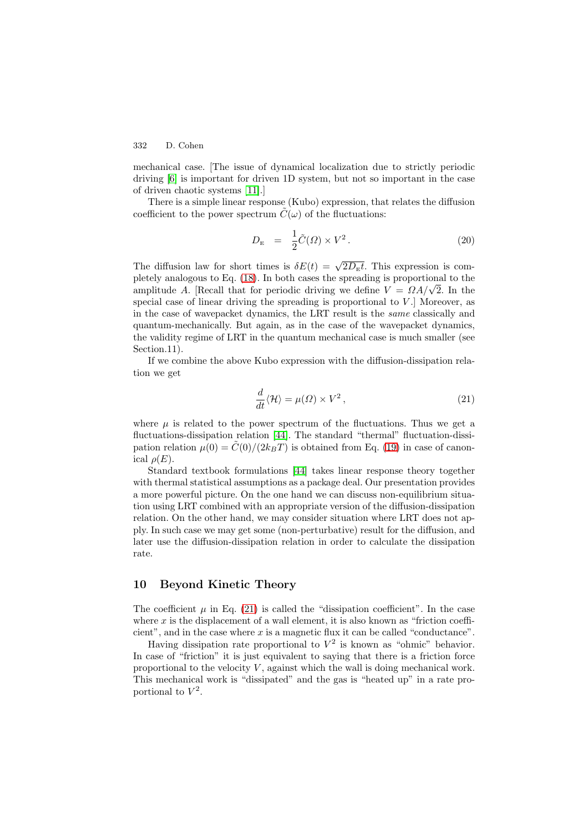mechanical case. [The issue of dynamical localization due to strictly periodic driving [\[6\]](#page-32-0) is important for driven 1D system, but not so important in the case of driven chaotic systems [\[11\]](#page-32-0).]

There is a simple linear response (Kubo) expression, that relates the diffusion coefficient to the power spectrum  $\tilde{C}(\omega)$  of the fluctuations:

$$
D_{\mathcal{E}} = \frac{1}{2}\tilde{C}(\Omega) \times V^2.
$$
 (20)

The diffusion law for short times is  $\delta E(t) = \sqrt{2D_{\rm E}t}$ . This expression is completely analogous to Eq. [\(18\)](#page-13-0). In both cases the spreading is proportional to the amplitude A. [Recall that for periodic driving we define  $V = \Omega A/\sqrt{2}$ . In the special case of linear driving the spreading is proportional to  $V$ . Moreover, as in the case of wavepacket dynamics, the LRT result is the *same* classically and quantum-mechanically. But again, as in the case of the wavepacket dynamics, the validity regime of LRT in the quantum mechanical case is much smaller (see Section.11).

If we combine the above Kubo expression with the diffusion-dissipation relation we get

$$
\frac{d}{dt}\langle \mathcal{H} \rangle = \mu(\Omega) \times V^2, \qquad (21)
$$

where  $\mu$  is related to the power spectrum of the fluctuations. Thus we get a fluctuations-dissipation relation [\[44\]](#page-33-0). The standard "thermal" fluctuation-dissipation relation  $\mu(0) = C(0)/(2k_BT)$  is obtained from Eq. [\(19\)](#page-14-0) in case of canonical  $\rho(E)$ .

Standard textbook formulations [\[44\]](#page-33-0) takes linear response theory together with thermal statistical assumptions as a package deal. Our presentation provides a more powerful picture. On the one hand we can discuss non-equilibrium situation using LRT combined with an appropriate version of the diffusion-dissipation relation. On the other hand, we may consider situation where LRT does not apply. In such case we may get some (non-perturbative) result for the diffusion, and later use the diffusion-dissipation relation in order to calculate the dissipation rate.

#### **10 Beyond Kinetic Theory**

The coefficient  $\mu$  in Eq. (21) is called the "dissipation coefficient". In the case where  $x$  is the displacement of a wall element, it is also known as "friction coefficient", and in the case where  $x$  is a magnetic flux it can be called "conductance".

Having dissipation rate proportional to  $V^2$  is known as "ohmic" behavior. In case of "friction" it is just equivalent to saying that there is a friction force proportional to the velocity  $V$ , against which the wall is doing mechanical work. This mechanical work is "dissipated" and the gas is "heated up" in a rate proportional to  $V^2$ .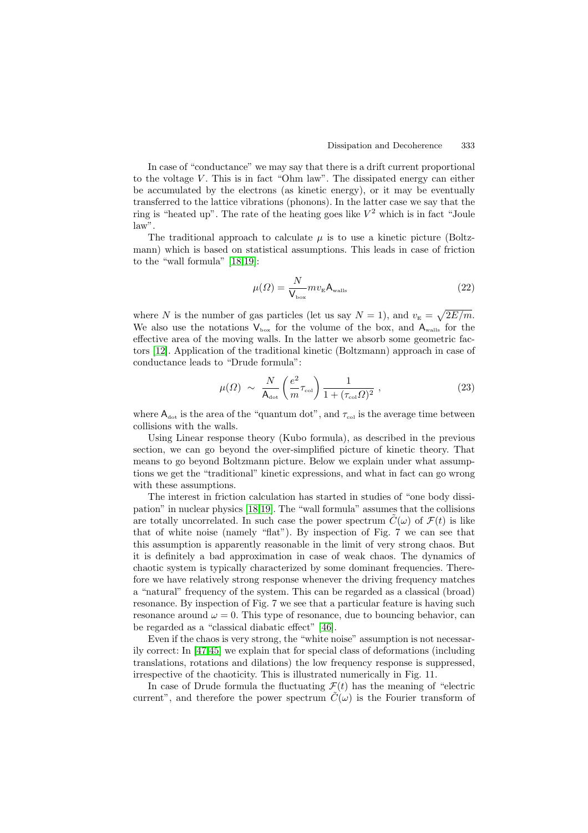In case of "conductance" we may say that there is a drift current proportional to the voltage  $V$ . This is in fact "Ohm law". The dissipated energy can either be accumulated by the electrons (as kinetic energy), or it may be eventually transferred to the lattice vibrations (phonons). In the latter case we say that the ring is "heated up". The rate of the heating goes like  $V^2$  which is in fact "Joule law".

The traditional approach to calculate  $\mu$  is to use a kinetic picture (Boltzmann) which is based on statistical assumptions. This leads in case of friction to the "wall formula" [\[18,19\]](#page-32-0):

$$
\mu(\Omega) = \frac{N}{V_{\text{box}}} m v_{\text{E}} A_{\text{walls}} \tag{22}
$$

where N is the number of gas particles (let us say  $N = 1$ ), and  $v_{\rm E} = \sqrt{2E/m}$ . We also use the notations  $V_{\text{box}}$  for the volume of the box, and  $A_{\text{walls}}$  for the effective area of the moving walls. In the latter we absorb some geometric factors [\[12\]](#page-32-0). Application of the traditional kinetic (Boltzmann) approach in case of conductance leads to "Drude formula":

$$
\mu(\Omega) \sim \frac{N}{\mathsf{A}_{\text{dot}}}\left(\frac{e^2}{m}\tau_{\text{col}}\right)\frac{1}{1+(\tau_{\text{col}}\Omega)^2} \,,\tag{23}
$$

where  $A_{\text{dot}}$  is the area of the "quantum dot", and  $\tau_{\text{col}}$  is the average time between collisions with the walls.

Using Linear response theory (Kubo formula), as described in the previous section, we can go beyond the over-simplified picture of kinetic theory. That means to go beyond Boltzmann picture. Below we explain under what assumptions we get the "traditional" kinetic expressions, and what in fact can go wrong with these assumptions.

The interest in friction calculation has started in studies of "one body dissipation" in nuclear physics [\[18,19\]](#page-32-0). The "wall formula" assumes that the collisions are totally uncorrelated. In such case the power spectrum  $C(\omega)$  of  $\mathcal{F}(t)$  is like that of white noise (namely "flat"). By inspection of Fig. 7 we can see that this assumption is apparently reasonable in the limit of very strong chaos. But it is definitely a bad approximation in case of weak chaos. The dynamics of chaotic system is typically characterized by some dominant frequencies. Therefore we have relatively strong response whenever the driving frequency matches a "natural" frequency of the system. This can be regarded as a classical (broad) resonance. By inspection of Fig. 7 we see that a particular feature is having such resonance around  $\omega = 0$ . This type of resonance, due to bouncing behavior, can be regarded as a "classical diabatic effect" [\[46\]](#page-33-0).

Even if the chaos is very strong, the "white noise" assumption is not necessarily correct: In [\[47,45\]](#page-33-0) we explain that for special class of deformations (including translations, rotations and dilations) the low frequency response is suppressed, irrespective of the chaoticity. This is illustrated numerically in Fig. 11.

In case of Drude formula the fluctuating  $\mathcal{F}(t)$  has the meaning of "electric current", and therefore the power spectrum  $C(\omega)$  is the Fourier transform of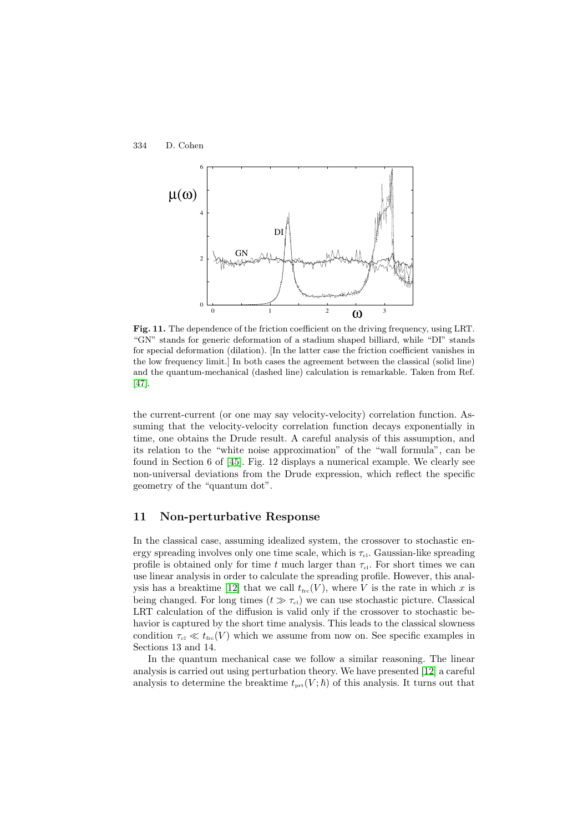

**Fig. 11.** The dependence of the friction coefficient on the driving frequency, using LRT. "GN" stands for generic deformation of a stadium shaped billiard, while "DI" stands for special deformation (dilation). [In the latter case the friction coefficient vanishes in the low frequency limit.] In both cases the agreement between the classical (solid line) and the quantum-mechanical (dashed line) calculation is remarkable. Taken from Ref. [\[47\]](#page-33-0).

the current-current (or one may say velocity-velocity) correlation function. Assuming that the velocity-velocity correlation function decays exponentially in time, one obtains the Drude result. A careful analysis of this assumption, and its relation to the "white noise approximation" of the "wall formula", can be found in Section 6 of [\[45\]](#page-33-0). Fig. 12 displays a numerical example. We clearly see non-universal deviations from the Drude expression, which reflect the specific geometry of the "quantum dot".

#### **11 Non-perturbative Response**

In the classical case, assuming idealized system, the crossover to stochastic energy spreading involves only one time scale, which is  $\tau_{cl}$ . Gaussian-like spreading profile is obtained only for time t much larger than  $\tau_{\rm cl}$ . For short times we can use linear analysis in order to calculate the spreading profile. However, this anal-ysis has a breaktime [\[12\]](#page-32-0) that we call  $t_{\text{frc}}(V)$ , where V is the rate in which x is being changed. For long times  $(t \gg \tau_{\text{cl}})$  we can use stochastic picture. Classical  $LRT$  calculation of the diffusion is valid only if the crossover to stochastic behavior is captured by the short time analysis. This leads to the classical slowness condition  $\tau_{\rm cl} \ll t_{\rm frc}(V)$  which we assume from now on. See specific examples in Sections 13 and 14.

In the quantum mechanical case we follow a similar reasoning. The linear analysis is carried out using perturbation theory. We have presented [\[12\]](#page-32-0) a careful analysis to determine the breaktime  $t_{\text{prt}}(V; \hbar)$  of this analysis. It turns out that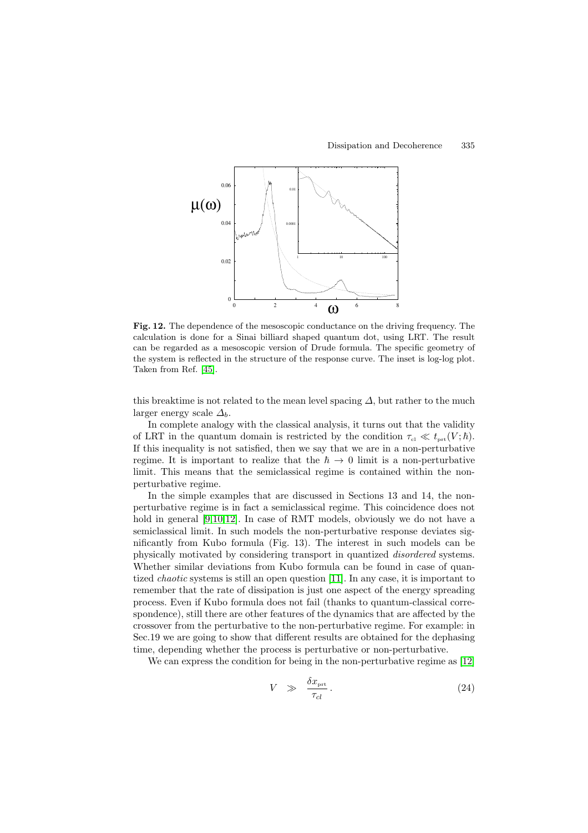<span id="page-18-0"></span>

**Fig. 12.** The dependence of the mesoscopic conductance on the driving frequency. The calculation is done for a Sinai billiard shaped quantum dot, using LRT. The result can be regarded as a mesoscopic version of Drude formula. The specific geometry of the system is reflected in the structure of the response curve. The inset is log-log plot. Taken from Ref. [\[45\]](#page-33-0).

this breaktime is not related to the mean level spacing  $\Delta$ , but rather to the much larger energy scale  $\Delta_b$ .

In complete analogy with the classical analysis, it turns out that the validity of LRT in the quantum domain is restricted by the condition  $\tau_{\rm cl} \ll t_{\rm prt}(V; \hbar)$ . If this inequality is not satisfied, then we say that we are in a non-perturbative regime. It is important to realize that the  $\hbar \to 0$  limit is a non-perturbative limit. This means that the semiclassical regime is contained within the nonperturbative regime.

In the simple examples that are discussed in Sections 13 and 14, the nonperturbative regime is in fact a semiclassical regime. This coincidence does not hold in general  $[9,10,12]$ . In case of RMT models, obviously we do not have a semiclassical limit. In such models the non-perturbative response deviates significantly from Kubo formula (Fig. 13). The interest in such models can be physically motivated by considering transport in quantized disordered systems. Whether similar deviations from Kubo formula can be found in case of quantized chaotic systems is still an open question [\[11\]](#page-32-0). In any case, it is important to remember that the rate of dissipation is just one aspect of the energy spreading process. Even if Kubo formula does not fail (thanks to quantum-classical correspondence), still there are other features of the dynamics that are affected by the crossover from the perturbative to the non-perturbative regime. For example: in Sec.19 we are going to show that different results are obtained for the dephasing time, depending whether the process is perturbative or non-perturbative.

We can express the condition for being in the non-perturbative regime as [\[12\]](#page-32-0)

$$
V \quad \gg \quad \frac{\delta x_{\rm prt}}{\tau_{cl}} \,. \tag{24}
$$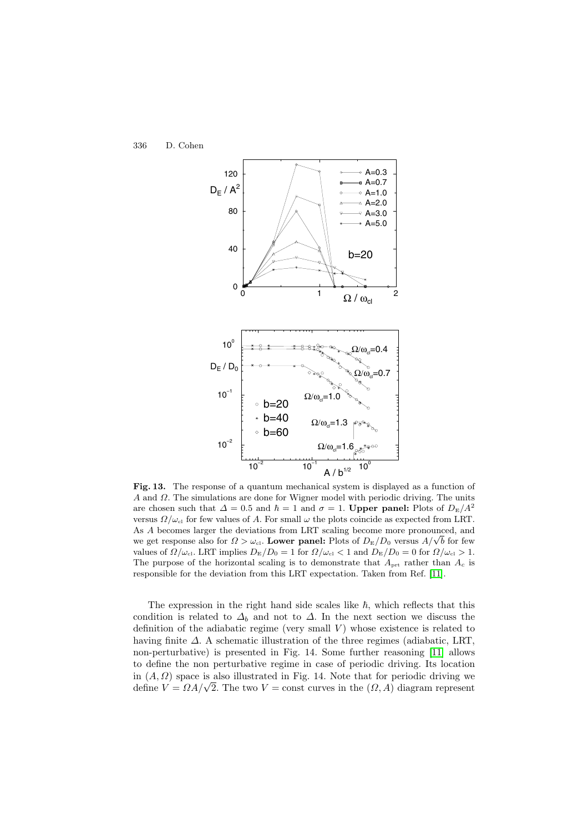

**Fig. 13.** The response of a quantum mechanical system is displayed as a function of A and  $\Omega$ . The simulations are done for Wigner model with periodic driving. The units are chosen such that  $\Delta = 0.5$  and  $\hbar = 1$  and  $\sigma = 1$ . **Upper panel:** Plots of  $D_{\rm E}/A^2$ versus  $\Omega/\omega_{\rm cl}$  for few values of A. For small  $\omega$  the plots coincide as expected from LRT. As A becomes larger the deviations from LRT scaling become more pronounced, and we get response also for  $\Omega > \omega_{\rm cl}$ . **Lower panel:** Plots of  $D_{\rm E}/D_0$  versus  $A/\sqrt{b}$  for few values of  $\Omega/\omega_{\rm cl}$ . LRT implies  $D_{\rm E}/D_0 = 1$  for  $\Omega/\omega_{\rm cl} < 1$  and  $D_{\rm E}/D_0 = 0$  for  $\Omega/\omega_{\rm cl} > 1$ . The purpose of the horizontal scaling is to demonstrate that  $A_{\text{prt}}$  rather than  $A_c$  is responsible for the deviation from this LRT expectation. Taken from Ref. [\[11\]](#page-32-0).

The expression in the right hand side scales like  $\hbar$ , which reflects that this condition is related to  $\Delta_b$  and not to  $\Delta$ . In the next section we discuss the definition of the adiabatic regime (very small  $V$ ) whose existence is related to having finite  $\Delta$ . A schematic illustration of the three regimes (adiabatic, LRT, non-perturbative) is presented in Fig. 14. Some further reasoning [\[11\]](#page-32-0) allows to define the non perturbative regime in case of periodic driving. Its location in  $(A, \Omega)$  space is also illustrated in Fig. 14. Note that for periodic driving we define  $V = \Omega A/\sqrt{2}$ . The two  $V =$  const curves in the  $(\Omega, A)$  diagram represent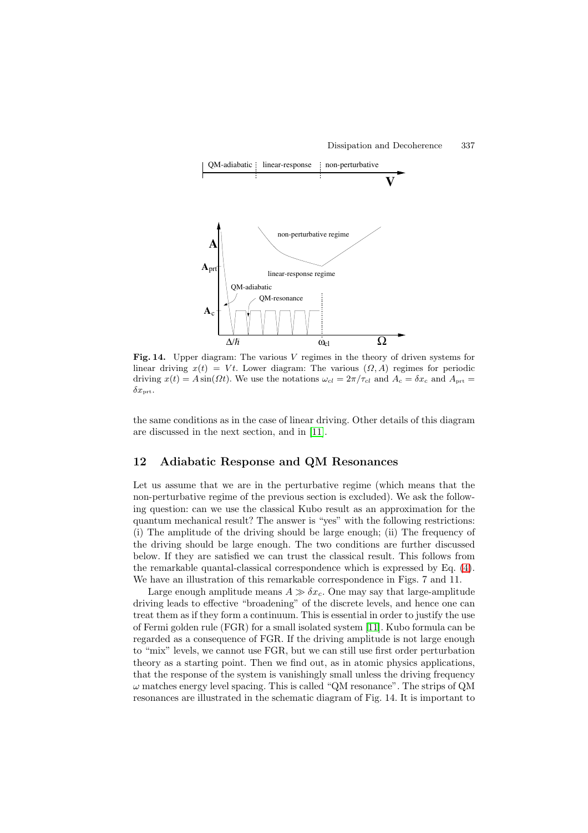

**Fig. 14.** Upper diagram: The various V regimes in the theory of driven systems for linear driving  $x(t) = Vt$ . Lower diagram: The various  $(\Omega, A)$  regimes for periodic driving  $x(t) = A \sin(\Omega t)$ . We use the notations  $\omega_{cl} = 2\pi/\tau_{cl}$  and  $A_c = \delta x_c$  and  $A_{\text{prt}} =$  $\delta x$ <sub>prt</sub>.

the same conditions as in the case of linear driving. Other details of this diagram are discussed in the next section, and in [\[11\]](#page-32-0).

#### **12 Adiabatic Response and QM Resonances**

Let us assume that we are in the perturbative regime (which means that the non-perturbative regime of the previous section is excluded). We ask the following question: can we use the classical Kubo result as an approximation for the quantum mechanical result? The answer is "yes" with the following restrictions: (i) The amplitude of the driving should be large enough; (ii) The frequency of the driving should be large enough. The two conditions are further discussed below. If they are satisfied we can trust the classical result. This follows from the remarkable quantal-classical correspondence which is expressed by Eq. [\(4\)](#page-6-0). We have an illustration of this remarkable correspondence in Figs. 7 and 11.

Large enough amplitude means  $A \gg \delta x_c$ . One may say that large-amplitude driving leads to effective "broadening" of the discrete levels, and hence one can treat them as if they form a continuum. This is essential in order to justify the use of Fermi golden rule (FGR) for a small isolated system [\[11\]](#page-32-0). Kubo formula can be regarded as a consequence of FGR. If the driving amplitude is not large enough to "mix" levels, we cannot use FGR, but we can still use first order perturbation theory as a starting point. Then we find out, as in atomic physics applications, that the response of the system is vanishingly small unless the driving frequency  $\omega$  matches energy level spacing. This is called "QM resonance". The strips of QM resonances are illustrated in the schematic diagram of Fig. 14. It is important to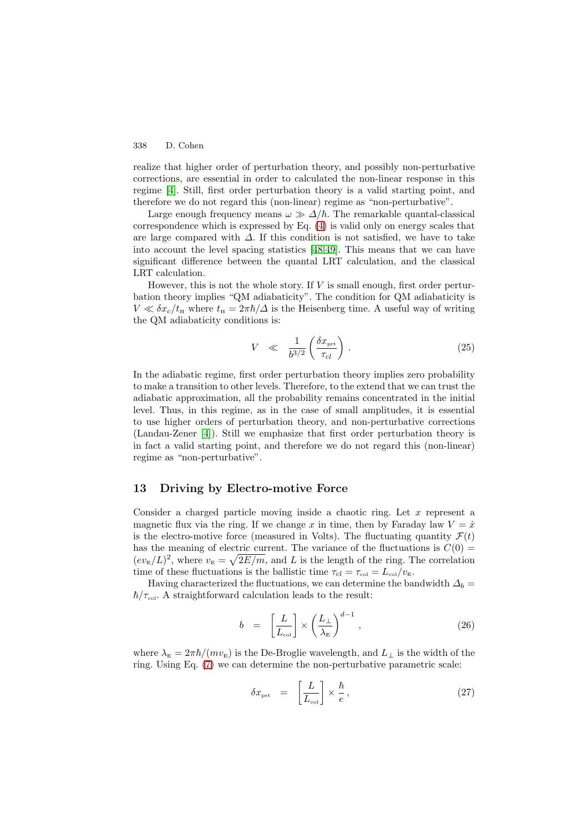<span id="page-21-0"></span>338 D. Cohen

realize that higher order of perturbation theory, and possibly non-perturbative corrections, are essential in order to calculated the non-linear response in this regime [\[4\]](#page-31-0). Still, first order perturbation theory is a valid starting point, and therefore we do not regard this (non-linear) regime as "non-perturbative".

Large enough frequency means  $\omega \gg \Delta/\hbar$ . The remarkable quantal-classical correspondence which is expressed by Eq. [\(4\)](#page-6-0) is valid only on energy scales that are large compared with  $\Delta$ . If this condition is not satisfied, we have to take into account the level spacing statistics [\[48,49\]](#page-33-0). This means that we can have significant difference between the quantal LRT calculation, and the classical LRT calculation.

However, this is not the whole story. If  $V$  is small enough, first order perturbation theory implies "QM adiabaticity". The condition for QM adiabaticity is  $V \ll \delta x_c/t_H$  where  $t_H = 2\pi \hbar/\Delta$  is the Heisenberg time. A useful way of writing the QM adiabaticity conditions is:

$$
V \ll \frac{1}{b^{3/2}} \left( \frac{\delta x_{\text{prt}}}{\tau_{cl}} \right). \tag{25}
$$

In the adiabatic regime, first order perturbation theory implies zero probability to make a transition to other levels. Therefore, to the extend that we can trust the adiabatic approximation, all the probability remains concentrated in the initial level. Thus, in this regime, as in the case of small amplitudes, it is essential to use higher orders of perturbation theory, and non-perturbative corrections (Landau-Zener [\[4\]](#page-31-0)). Still we emphasize that first order perturbation theory is in fact a valid starting point, and therefore we do not regard this (non-linear) regime as "non-perturbative".

#### **13 Driving by Electro-motive Force**

Consider a charged particle moving inside a chaotic ring. Let x represent a magnetic flux via the ring. If we change x in time, then by Faraday law  $V = \dot{x}$ is the electro-motive force (measured in Volts). The fluctuating quantity  $\mathcal{F}(t)$ has the meaning of electric current. The variance of the fluctuations is  $C(0)$  =  $(ev_{\rm E}/L)^2$ , where  $v_{\rm E} = \sqrt{2E/m}$ , and L is the length of the ring. The correlation time of these fluctuations is the ballistic time  $\tau_{cl} = \tau_{col} = L_{col}/v_{E}$ .

Having characterized the fluctuations, we can determine the bandwidth  $\Delta_b =$  $\hbar/\tau_{\text{col}}$ . A straightforward calculation leads to the result:

$$
b = \left[\frac{L}{L_{\rm col}}\right] \times \left(\frac{L_{\perp}}{\lambda_{\rm E}}\right)^{d-1},\tag{26}
$$

where  $\lambda_{\rm E} = 2\pi\hbar/(mv_{\rm E})$  is the De-Broglie wavelength, and  $L_{\perp}$  is the width of the ring. Using Eq. [\(7\)](#page-6-0) we can determine the non-perturbative parametric scale:

$$
\delta x_{\text{prt}} = \left[\frac{L}{L_{\text{col}}}\right] \times \frac{\hbar}{e},\tag{27}
$$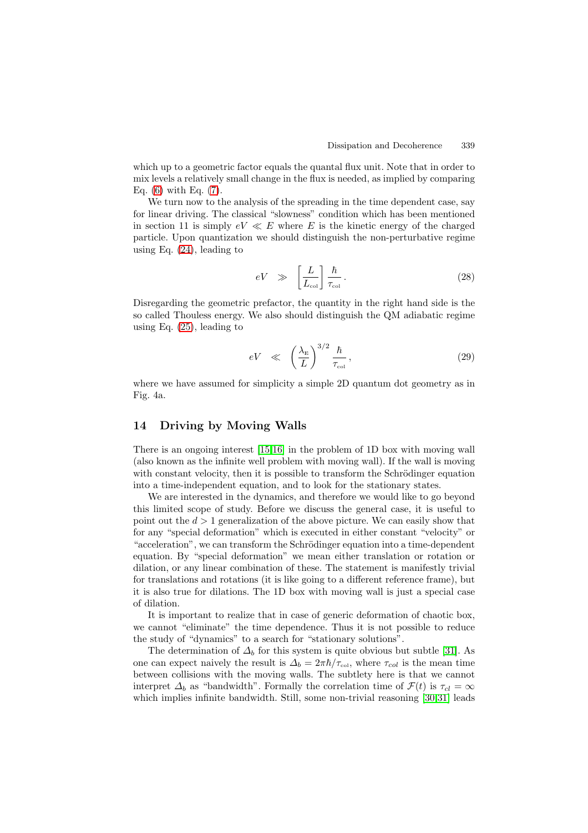which up to a geometric factor equals the quantal flux unit. Note that in order to mix levels a relatively small change in the flux is needed, as implied by comparing Eq. [\(6\)](#page-6-0) with Eq. [\(7\)](#page-6-0).

We turn now to the analysis of the spreading in the time dependent case, say for linear driving. The classical "slowness" condition which has been mentioned in section 11 is simply  $eV \ll E$  where E is the kinetic energy of the charged particle. Upon quantization we should distinguish the non-perturbative regime using Eq. [\(24\)](#page-18-0), leading to

$$
eV \quad \gg \quad \left[\frac{L}{L_{\text{col}}}\right] \frac{\hbar}{\tau_{\text{col}}} \,. \tag{28}
$$

Disregarding the geometric prefactor, the quantity in the right hand side is the so called Thouless energy. We also should distinguish the QM adiabatic regime using Eq. [\(25\)](#page-21-0), leading to

$$
eV \ll \left(\frac{\lambda_{\rm E}}{L}\right)^{3/2} \frac{\hbar}{\tau_{\rm col}},\tag{29}
$$

where we have assumed for simplicity a simple 2D quantum dot geometry as in Fig. 4a.

#### **14 Driving by Moving Walls**

There is an ongoing interest [\[15,16\]](#page-32-0) in the problem of 1D box with moving wall (also known as the infinite well problem with moving wall). If the wall is moving with constant velocity, then it is possible to transform the Schrödinger equation into a time-independent equation, and to look for the stationary states.

We are interested in the dynamics, and therefore we would like to go beyond this limited scope of study. Before we discuss the general case, it is useful to point out the  $d > 1$  generalization of the above picture. We can easily show that for any "special deformation" which is executed in either constant "velocity" or "acceleration", we can transform the Schrödinger equation into a time-dependent equation. By "special deformation" we mean either translation or rotation or dilation, or any linear combination of these. The statement is manifestly trivial for translations and rotations (it is like going to a different reference frame), but it is also true for dilations. The 1D box with moving wall is just a special case of dilation.

It is important to realize that in case of generic deformation of chaotic box, we cannot "eliminate" the time dependence. Thus it is not possible to reduce the study of "dynamics" to a search for "stationary solutions".

The determination of  $\Delta_b$  for this system is quite obvious but subtle [\[31\]](#page-32-0). As one can expect naively the result is  $\Delta_b = 2\pi\hbar/\tau_{col}$ , where  $\tau_{col}$  is the mean time between collisions with the moving walls. The subtlety here is that we cannot interpret  $\Delta_b$  as "bandwidth". Formally the correlation time of  $\mathcal{F}(t)$  is  $\tau_{cl} = \infty$ which implies infinite bandwidth. Still, some non-trivial reasoning [\[30,31\]](#page-32-0) leads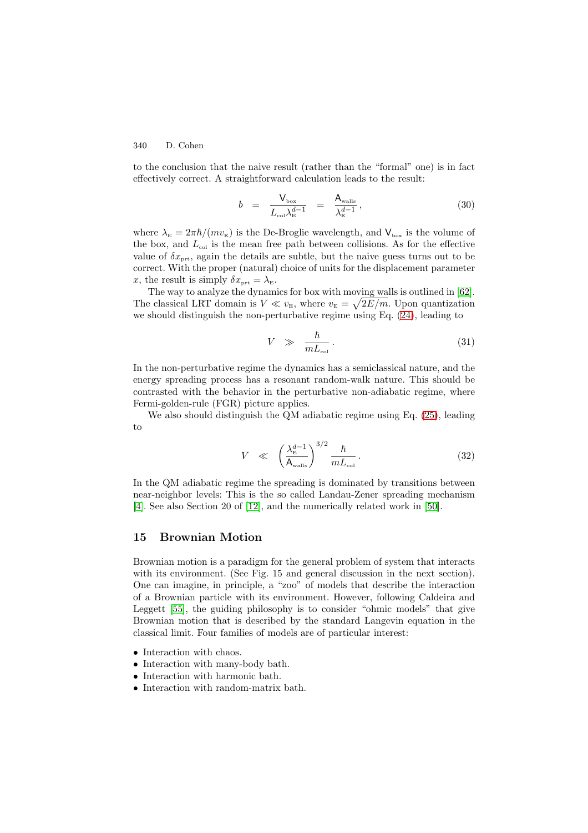to the conclusion that the naive result (rather than the "formal" one) is in fact effectively correct. A straightforward calculation leads to the result:

$$
b = \frac{\mathsf{V}_{\text{box}}}{L_{\text{col}} \lambda_{\text{E}}^{d-1}} = \frac{\mathsf{A}_{\text{walls}}}{\lambda_{\text{E}}^{d-1}}, \tag{30}
$$

where  $\lambda_{\rm E} = 2\pi\hbar/(mv_{\rm E})$  is the De-Broglie wavelength, and  $V_{\rm box}$  is the volume of the box, and  $L_{\text{col}}$  is the mean free path between collisions. As for the effective value of  $\delta x_{\text{net}}$ , again the details are subtle, but the naive guess turns out to be correct. With the proper (natural) choice of units for the displacement parameter x, the result is simply  $\delta x_{\text{ort}} = \lambda_{\text{E}}$ .

The way to analyze the dynamics for box with moving walls is outlined in [\[62\]](#page-33-0). The classical LRT domain is  $V \ll v_{\rm E}$ , where  $v_{\rm E} = \sqrt{2E/m}$ . Upon quantization we should distinguish the non-perturbative regime using Eq. [\(24\)](#page-18-0), leading to

$$
V \quad \gg \quad \frac{\hbar}{m L_{\text{col}}} \,. \tag{31}
$$

In the non-perturbative regime the dynamics has a semiclassical nature, and the energy spreading process has a resonant random-walk nature. This should be contrasted with the behavior in the perturbative non-adiabatic regime, where Fermi-golden-rule (FGR) picture applies.

We also should distinguish the QM adiabatic regime using Eq. [\(25\)](#page-21-0), leading to

$$
V \ll \left(\frac{\lambda_{\rm E}^{d-1}}{\mathsf{A}_{\rm walls}}\right)^{3/2} \frac{\hbar}{m L_{\rm col}}\,. \tag{32}
$$

In the QM adiabatic regime the spreading is dominated by transitions between near-neighbor levels: This is the so called Landau-Zener spreading mechanism [\[4\]](#page-31-0). See also Section 20 of [\[12\]](#page-32-0), and the numerically related work in [\[50\]](#page-33-0).

### **15 Brownian Motion**

Brownian motion is a paradigm for the general problem of system that interacts with its environment. (See Fig. 15 and general discussion in the next section). One can imagine, in principle, a "zoo" of models that describe the interaction of a Brownian particle with its environment. However, following Caldeira and Leggett [\[55\]](#page-33-0), the guiding philosophy is to consider "ohmic models" that give Brownian motion that is described by the standard Langevin equation in the classical limit. Four families of models are of particular interest:

- Interaction with chaos.
- Interaction with many-body bath.
- Interaction with harmonic bath.
- Interaction with random-matrix bath.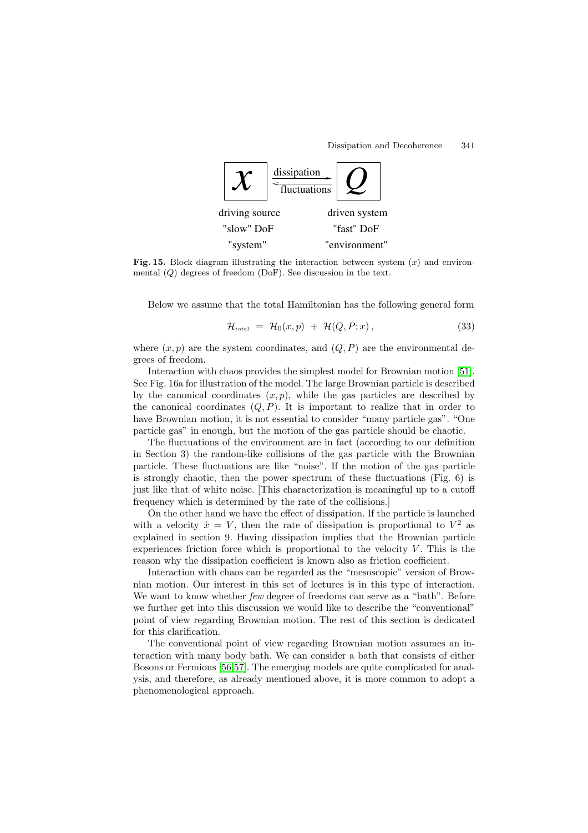

**Fig. 15.** Block diagram illustrating the interaction between system  $(x)$  and environmental  $(Q)$  degrees of freedom (DoF). See discussion in the text.

Below we assume that the total Hamiltonian has the following general form

$$
\mathcal{H}_{\text{total}} = \mathcal{H}_0(x, p) + \mathcal{H}(Q, P; x), \qquad (33)
$$

where  $(x, p)$  are the system coordinates, and  $(Q, P)$  are the environmental degrees of freedom.

Interaction with chaos provides the simplest model for Brownian motion [\[51\]](#page-33-0). See Fig. 16a for illustration of the model. The large Brownian particle is described by the canonical coordinates  $(x, p)$ , while the gas particles are described by the canonical coordinates  $(Q, P)$ . It is important to realize that in order to have Brownian motion, it is not essential to consider "many particle gas". "One particle gas" in enough, but the motion of the gas particle should be chaotic.

The fluctuations of the environment are in fact (according to our definition in Section 3) the random-like collisions of the gas particle with the Brownian particle. These fluctuations are like "noise". If the motion of the gas particle is strongly chaotic, then the power spectrum of these fluctuations (Fig. 6) is just like that of white noise. [This characterization is meaningful up to a cutoff frequency which is determined by the rate of the collisions.]

On the other hand we have the effect of dissipation. If the particle is launched with a velocity  $\dot{x} = V$ , then the rate of dissipation is proportional to  $V^2$  as explained in section 9. Having dissipation implies that the Brownian particle experiences friction force which is proportional to the velocity  $V$ . This is the reason why the dissipation coefficient is known also as friction coefficient.

Interaction with chaos can be regarded as the "mesoscopic" version of Brownian motion. Our interest in this set of lectures is in this type of interaction. We want to know whether *few* degree of freedoms can serve as a "bath". Before we further get into this discussion we would like to describe the "conventional" point of view regarding Brownian motion. The rest of this section is dedicated for this clarification.

The conventional point of view regarding Brownian motion assumes an interaction with many body bath. We can consider a bath that consists of either Bosons or Fermions [\[56,57\]](#page-33-0). The emerging models are quite complicated for analysis, and therefore, as already mentioned above, it is more common to adopt a phenomenological approach.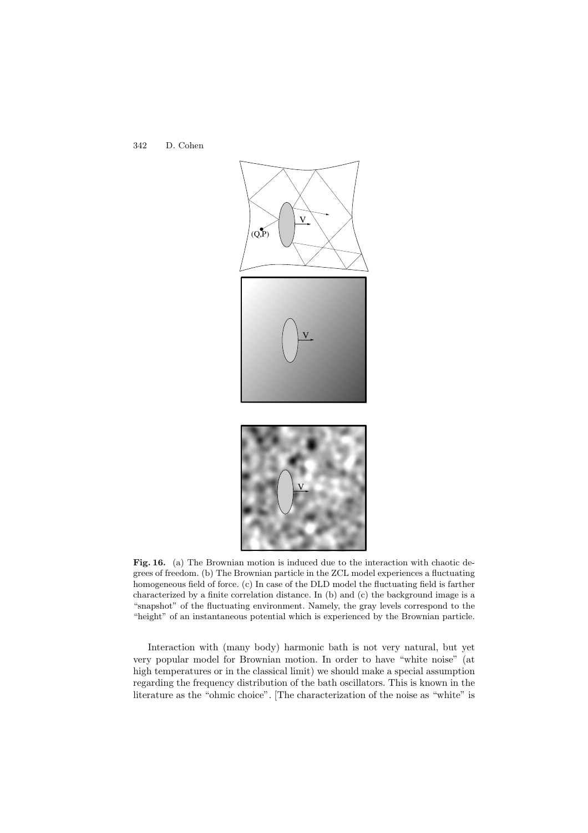

**Fig. 16.** (a) The Brownian motion is induced due to the interaction with chaotic degrees of freedom. (b) The Brownian particle in the ZCL model experiences a fluctuating homogeneous field of force. (c) In case of the DLD model the fluctuating field is farther characterized by a finite correlation distance. In (b) and (c) the background image is a "snapshot" of the fluctuating environment. Namely, the gray levels correspond to the "height" of an instantaneous potential which is experienced by the Brownian particle.

Interaction with (many body) harmonic bath is not very natural, but yet very popular model for Brownian motion. In order to have "white noise" (at high temperatures or in the classical limit) we should make a special assumption regarding the frequency distribution of the bath oscillators. This is known in the literature as the "ohmic choice". [The characterization of the noise as "white" is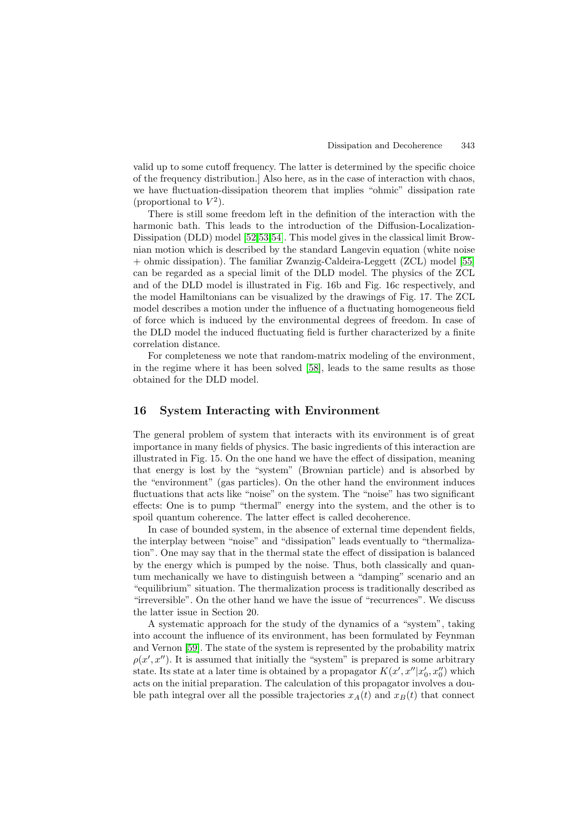valid up to some cutoff frequency. The latter is determined by the specific choice of the frequency distribution.] Also here, as in the case of interaction with chaos, we have fluctuation-dissipation theorem that implies "ohmic" dissipation rate (proportional to  $V^2$ ).

There is still some freedom left in the definition of the interaction with the harmonic bath. This leads to the introduction of the Diffusion-Localization-Dissipation (DLD) model [\[52,53,54\]](#page-33-0). This model gives in the classical limit Brownian motion which is described by the standard Langevin equation (white noise + ohmic dissipation). The familiar Zwanzig-Caldeira-Leggett (ZCL) model [\[55\]](#page-33-0) can be regarded as a special limit of the DLD model. The physics of the ZCL and of the DLD model is illustrated in Fig. 16b and Fig. 16c respectively, and the model Hamiltonians can be visualized by the drawings of Fig. 17. The ZCL model describes a motion under the influence of a fluctuating homogeneous field of force which is induced by the environmental degrees of freedom. In case of the DLD model the induced fluctuating field is further characterized by a finite correlation distance.

For completeness we note that random-matrix modeling of the environment, in the regime where it has been solved [\[58\]](#page-33-0), leads to the same results as those obtained for the DLD model.

#### **16 System Interacting with Environment**

The general problem of system that interacts with its environment is of great importance in many fields of physics. The basic ingredients of this interaction are illustrated in Fig. 15. On the one hand we have the effect of dissipation, meaning that energy is lost by the "system" (Brownian particle) and is absorbed by the "environment" (gas particles). On the other hand the environment induces fluctuations that acts like "noise" on the system. The "noise" has two significant effects: One is to pump "thermal" energy into the system, and the other is to spoil quantum coherence. The latter effect is called decoherence.

In case of bounded system, in the absence of external time dependent fields, the interplay between "noise" and "dissipation" leads eventually to "thermalization". One may say that in the thermal state the effect of dissipation is balanced by the energy which is pumped by the noise. Thus, both classically and quantum mechanically we have to distinguish between a "damping" scenario and an "equilibrium" situation. The thermalization process is traditionally described as "irreversible". On the other hand we have the issue of "recurrences". We discuss the latter issue in Section 20.

A systematic approach for the study of the dynamics of a "system", taking into account the influence of its environment, has been formulated by Feynman and Vernon [\[59\]](#page-33-0). The state of the system is represented by the probability matrix  $\rho(x',x'')$ . It is assumed that initially the "system" is prepared is some arbitrary state. Its state at a later time is obtained by a propagator  $K(x', x''|x'_0, x''_0)$  which acts on the initial preparation. The calculation of this propagator involves a double path integral over all the possible trajectories  $x_A(t)$  and  $x_B(t)$  that connect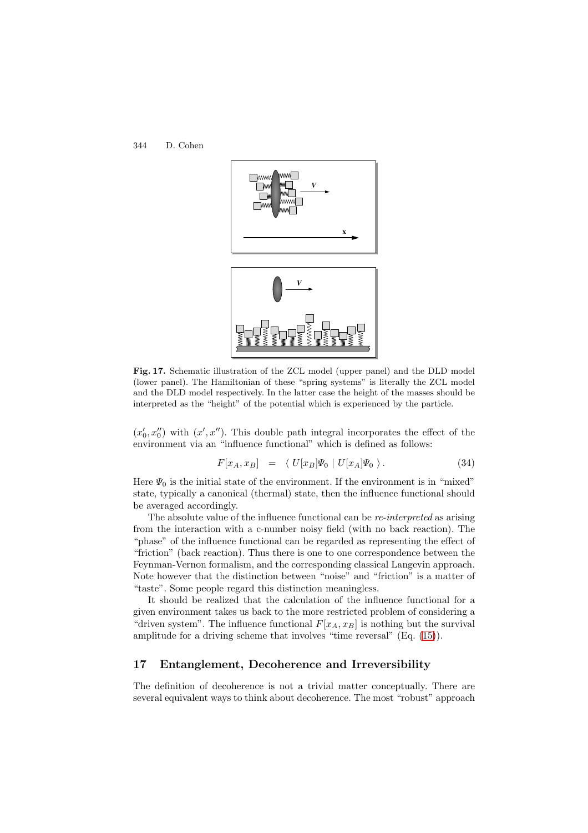

**Fig. 17.** Schematic illustration of the ZCL model (upper panel) and the DLD model (lower panel). The Hamiltonian of these "spring systems" is literally the ZCL model and the DLD model respectively. In the latter case the height of the masses should be interpreted as the "height" of the potential which is experienced by the particle.

 $(x'_0, x''_0)$  with  $(x', x'')$ . This double path integral incorporates the effect of the environment via an "influence functional" which is defined as follows:

$$
F[x_A, x_B] = \langle U[x_B] \Psi_0 | U[x_A] \Psi_0 \rangle. \tag{34}
$$

Here  $\Psi_0$  is the initial state of the environment. If the environment is in "mixed" state, typically a canonical (thermal) state, then the influence functional should be averaged accordingly.

The absolute value of the influence functional can be re-interpreted as arising from the interaction with a c-number noisy field (with no back reaction). The "phase" of the influence functional can be regarded as representing the effect of "friction" (back reaction). Thus there is one to one correspondence between the Feynman-Vernon formalism, and the corresponding classical Langevin approach. Note however that the distinction between "noise" and "friction" is a matter of "taste". Some people regard this distinction meaningless.

It should be realized that the calculation of the influence functional for a given environment takes us back to the more restricted problem of considering a "driven system". The influence functional  $F[x_A, x_B]$  is nothing but the survival amplitude for a driving scheme that involves "time reversal" (Eq. [\(15\)](#page-11-0)).

### **17 Entanglement, Decoherence and Irreversibility**

The definition of decoherence is not a trivial matter conceptually. There are several equivalent ways to think about decoherence. The most "robust" approach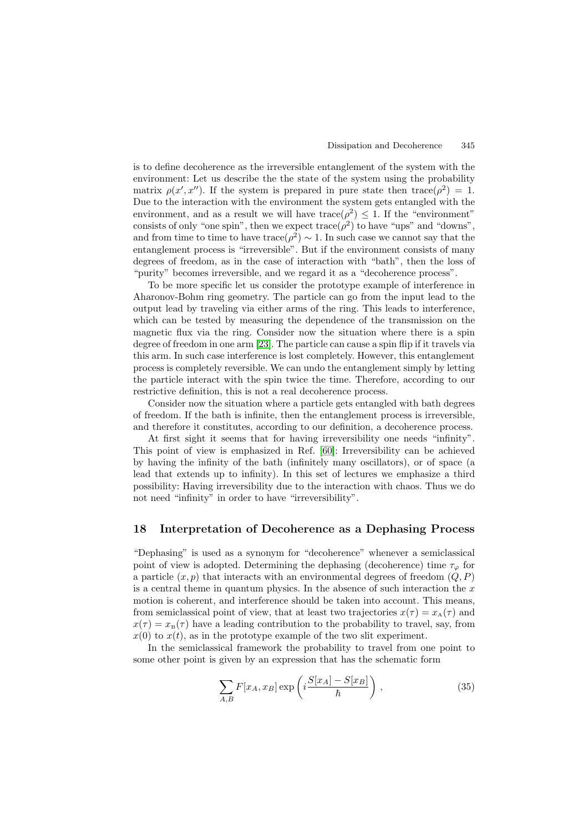is to define decoherence as the irreversible entanglement of the system with the environment: Let us describe the the state of the system using the probability matrix  $\rho(x', x'')$ . If the system is prepared in pure state then trace( $\rho^2$ ) = 1. Due to the interaction with the environment the system gets entangled with the environment, and as a result we will have trace( $\rho^2$ )  $\leq$  1. If the "environment" consists of only "one spin", then we expect trace( $\rho^2$ ) to have "ups" and "downs", and from time to time to have trace( $\rho^2$ ) ~ 1. In such case we cannot say that the entanglement process is "irreversible". But if the environment consists of many degrees of freedom, as in the case of interaction with "bath", then the loss of "purity" becomes irreversible, and we regard it as a "decoherence process".

To be more specific let us consider the prototype example of interference in Aharonov-Bohm ring geometry. The particle can go from the input lead to the output lead by traveling via either arms of the ring. This leads to interference, which can be tested by measuring the dependence of the transmission on the magnetic flux via the ring. Consider now the situation where there is a spin degree of freedom in one arm [\[23\]](#page-32-0). The particle can cause a spin flip if it travels via this arm. In such case interference is lost completely. However, this entanglement process is completely reversible. We can undo the entanglement simply by letting the particle interact with the spin twice the time. Therefore, according to our restrictive definition, this is not a real decoherence process.

Consider now the situation where a particle gets entangled with bath degrees of freedom. If the bath is infinite, then the entanglement process is irreversible, and therefore it constitutes, according to our definition, a decoherence process.

At first sight it seems that for having irreversibility one needs "infinity". This point of view is emphasized in Ref. [\[60\]](#page-33-0): Irreversibility can be achieved by having the infinity of the bath (infinitely many oscillators), or of space (a lead that extends up to infinity). In this set of lectures we emphasize a third possibility: Having irreversibility due to the interaction with chaos. Thus we do not need "infinity" in order to have "irreversibility".

#### **18 Interpretation of Decoherence as a Dephasing Process**

"Dephasing" is used as a synonym for "decoherence" whenever a semiclassical point of view is adopted. Determining the dephasing (decoherence) time  $\tau_{\varphi}$  for a particle  $(x, p)$  that interacts with an environmental degrees of freedom  $(Q, P)$ is a central theme in quantum physics. In the absence of such interaction the  $x$ motion is coherent, and interference should be taken into account. This means, from semiclassical point of view, that at least two trajectories  $x(\tau) = x_A(\tau)$  and  $x(\tau) = x_{\text{B}}(\tau)$  have a leading contribution to the probability to travel, say, from  $x(0)$  to  $x(t)$ , as in the prototype example of the two slit experiment.

In the semiclassical framework the probability to travel from one point to some other point is given by an expression that has the schematic form

$$
\sum_{A,B} F[x_A, x_B] \exp\left(i\frac{S[x_A] - S[x_B]}{\hbar}\right),\tag{35}
$$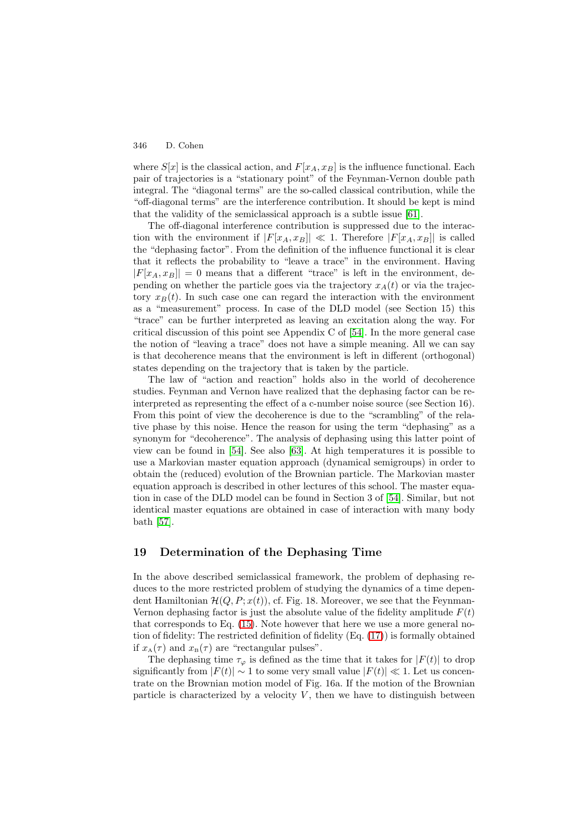where  $S[x]$  is the classical action, and  $F[x_A, x_B]$  is the influence functional. Each pair of trajectories is a "stationary point" of the Feynman-Vernon double path integral. The "diagonal terms" are the so-called classical contribution, while the "off-diagonal terms" are the interference contribution. It should be kept is mind that the validity of the semiclassical approach is a subtle issue [\[61\]](#page-33-0).

The off-diagonal interference contribution is suppressed due to the interaction with the environment if  $|F[x_A, x_B]| \ll 1$ . Therefore  $|F[x_A, x_B]|$  is called the "dephasing factor". From the definition of the influence functional it is clear that it reflects the probability to "leave a trace" in the environment. Having  $|F[x_A, x_B]| = 0$  means that a different "trace" is left in the environment, depending on whether the particle goes via the trajectory  $x_A(t)$  or via the trajectory  $x_B(t)$ . In such case one can regard the interaction with the environment as a "measurement" process. In case of the DLD model (see Section 15) this "trace" can be further interpreted as leaving an excitation along the way. For critical discussion of this point see Appendix C of [\[54\]](#page-33-0). In the more general case the notion of "leaving a trace" does not have a simple meaning. All we can say is that decoherence means that the environment is left in different (orthogonal) states depending on the trajectory that is taken by the particle.

The law of "action and reaction" holds also in the world of decoherence studies. Feynman and Vernon have realized that the dephasing factor can be reinterpreted as representing the effect of a c-number noise source (see Section 16). From this point of view the decoherence is due to the "scrambling" of the relative phase by this noise. Hence the reason for using the term "dephasing" as a synonym for "decoherence". The analysis of dephasing using this latter point of view can be found in [\[54\]](#page-33-0). See also [\[63\]](#page-33-0). At high temperatures it is possible to use a Markovian master equation approach (dynamical semigroups) in order to obtain the (reduced) evolution of the Brownian particle. The Markovian master equation approach is described in other lectures of this school. The master equation in case of the DLD model can be found in Section 3 of [\[54\]](#page-33-0). Similar, but not identical master equations are obtained in case of interaction with many body bath [\[57\]](#page-33-0).

### **19 Determination of the Dephasing Time**

In the above described semiclassical framework, the problem of dephasing reduces to the more restricted problem of studying the dynamics of a time dependent Hamiltonian  $\mathcal{H}(Q, P; x(t))$ , cf. Fig. 18. Moreover, we see that the Feynman-Vernon dephasing factor is just the absolute value of the fidelity amplitude  $F(t)$ that corresponds to Eq. [\(15\)](#page-11-0). Note however that here we use a more general notion of fidelity: The restricted definition of fidelity (Eq. [\(17\)](#page-12-0)) is formally obtained if  $x_{\rm A}(\tau)$  and  $x_{\rm B}(\tau)$  are "rectangular pulses".

The dephasing time  $\tau_{\varphi}$  is defined as the time that it takes for  $|F(t)|$  to drop significantly from  $|F(t)| \sim 1$  to some very small value  $|F(t)| \ll 1$ . Let us concentrate on the Brownian motion model of Fig. 16a. If the motion of the Brownian particle is characterized by a velocity  $V$ , then we have to distinguish between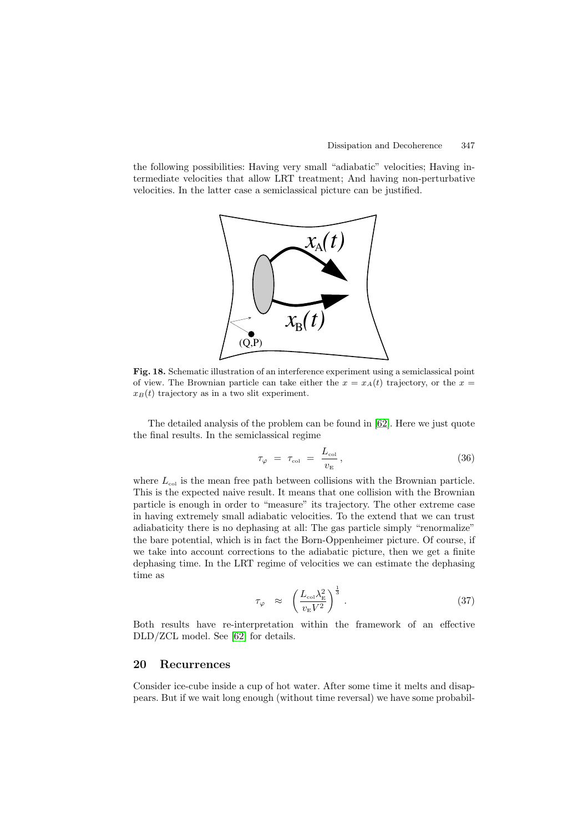the following possibilities: Having very small "adiabatic" velocities; Having intermediate velocities that allow LRT treatment; And having non-perturbative velocities. In the latter case a semiclassical picture can be justified.



**Fig. 18.** Schematic illustration of an interference experiment using a semiclassical point of view. The Brownian particle can take either the  $x = x_A(t)$  trajectory, or the  $x =$  $x_B(t)$  trajectory as in a two slit experiment.

The detailed analysis of the problem can be found in [\[62\]](#page-33-0). Here we just quote the final results. In the semiclassical regime

$$
\tau_{\varphi} = \tau_{\text{col}} = \frac{L_{\text{col}}}{v_{\text{E}}},\tag{36}
$$

where  $L_{\text{col}}$  is the mean free path between collisions with the Brownian particle. This is the expected naive result. It means that one collision with the Brownian particle is enough in order to "measure" its trajectory. The other extreme case in having extremely small adiabatic velocities. To the extend that we can trust adiabaticity there is no dephasing at all: The gas particle simply "renormalize" the bare potential, which is in fact the Born-Oppenheimer picture. Of course, if we take into account corrections to the adiabatic picture, then we get a finite dephasing time. In the LRT regime of velocities we can estimate the dephasing time as

$$
\tau_{\varphi} \approx \left(\frac{L_{\rm col}\lambda_{\rm E}^2}{v_{\rm E}V^2}\right)^{\frac{1}{3}}.\tag{37}
$$

Both results have re-interpretation within the framework of an effective DLD/ZCL model. See [\[62\]](#page-33-0) for details.

#### **20 Recurrences**

Consider ice-cube inside a cup of hot water. After some time it melts and disappears. But if we wait long enough (without time reversal) we have some probabil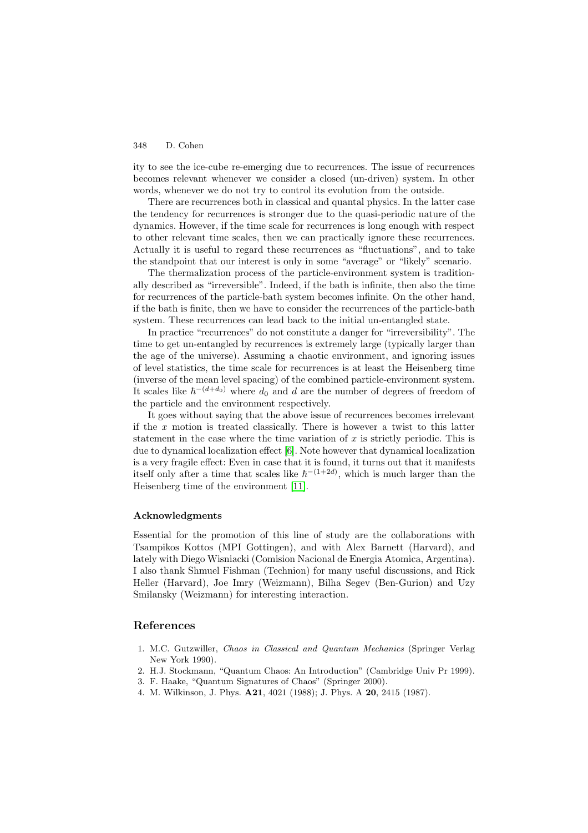<span id="page-31-0"></span>ity to see the ice-cube re-emerging due to recurrences. The issue of recurrences becomes relevant whenever we consider a closed (un-driven) system. In other words, whenever we do not try to control its evolution from the outside.

There are recurrences both in classical and quantal physics. In the latter case the tendency for recurrences is stronger due to the quasi-periodic nature of the dynamics. However, if the time scale for recurrences is long enough with respect to other relevant time scales, then we can practically ignore these recurrences. Actually it is useful to regard these recurrences as "fluctuations", and to take the standpoint that our interest is only in some "average" or "likely" scenario.

The thermalization process of the particle-environment system is traditionally described as "irreversible". Indeed, if the bath is infinite, then also the time for recurrences of the particle-bath system becomes infinite. On the other hand, if the bath is finite, then we have to consider the recurrences of the particle-bath system. These recurrences can lead back to the initial un-entangled state.

In practice "recurrences" do not constitute a danger for "irreversibility". The time to get un-entangled by recurrences is extremely large (typically larger than the age of the universe). Assuming a chaotic environment, and ignoring issues of level statistics, the time scale for recurrences is at least the Heisenberg time (inverse of the mean level spacing) of the combined particle-environment system. It scales like  $\hbar^{-(d+d_0)}$  where  $d_0$  and d are the number of degrees of freedom of the particle and the environment respectively.

It goes without saying that the above issue of recurrences becomes irrelevant if the x motion is treated classically. There is however a twist to this latter statement in the case where the time variation of  $x$  is strictly periodic. This is due to dynamical localization effect [\[6\]](#page-32-0). Note however that dynamical localization is a very fragile effect: Even in case that it is found, it turns out that it manifests itself only after a time that scales like  $\hbar^{-(1+2d)}$ , which is much larger than the Heisenberg time of the environment [\[11\]](#page-32-0).

#### **Acknowledgments**

Essential for the promotion of this line of study are the collaborations with Tsampikos Kottos (MPI Gottingen), and with Alex Barnett (Harvard), and lately with Diego Wisniacki (Comision Nacional de Energia Atomica, Argentina). I also thank Shmuel Fishman (Technion) for many useful discussions, and Rick Heller (Harvard), Joe Imry (Weizmann), Bilha Segev (Ben-Gurion) and Uzy Smilansky (Weizmann) for interesting interaction.

## **References**

- 1. M.C. Gutzwiller, Chaos in Classical and Quantum Mechanics (Springer Verlag New York 1990).
- 2. H.J. Stockmann, "Quantum Chaos: An Introduction" (Cambridge Univ Pr 1999).
- 3. F. Haake, "Quantum Signatures of Chaos" (Springer 2000).
- 4. M. Wilkinson, J. Phys. **A21**, 4021 (1988); J. Phys. A **20**, 2415 (1987).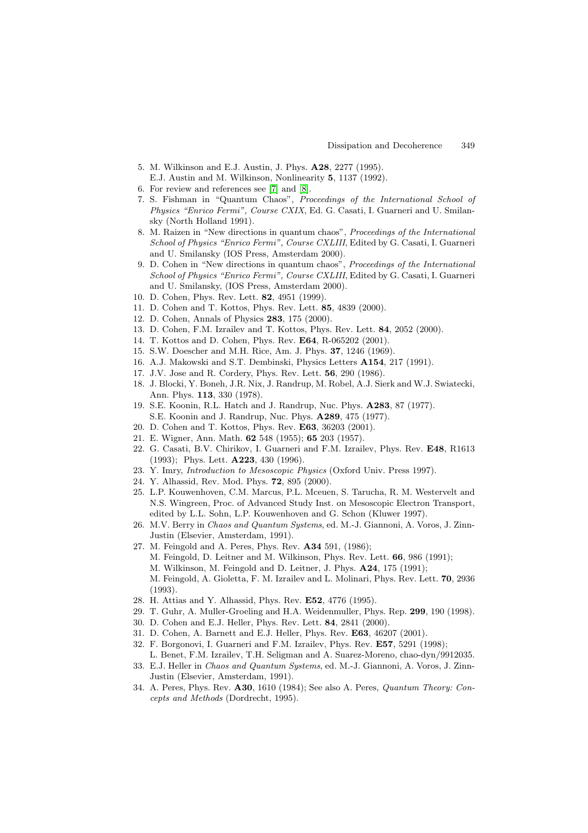- <span id="page-32-0"></span>5. M. Wilkinson and E.J. Austin, J. Phys. **A28**, 2277 (1995). E.J. Austin and M. Wilkinson, Nonlinearity **5**, 1137 (1992).
- 6. For review and references see [7] and [8].
- 7. S. Fishman in "Quantum Chaos", Proceedings of the International School of Physics "Enrico Fermi", Course CXIX, Ed. G. Casati, I. Guarneri and U. Smilansky (North Holland 1991).
- 8. M. Raizen in "New directions in quantum chaos", Proceedings of the International School of Physics "Enrico Fermi", Course CXLIII, Edited by G. Casati, I. Guarneri and U. Smilansky (IOS Press, Amsterdam 2000).
- 9. D. Cohen in "New directions in quantum chaos", Proceedings of the International School of Physics "Enrico Fermi", Course CXLIII, Edited by G. Casati, I. Guarneri and U. Smilansky, (IOS Press, Amsterdam 2000).
- 10. D. Cohen, Phys. Rev. Lett. **82**, 4951 (1999).
- 11. D. Cohen and T. Kottos, Phys. Rev. Lett. **85**, 4839 (2000).
- 12. D. Cohen, Annals of Physics **283**, 175 (2000).
- 13. D. Cohen, F.M. Izrailev and T. Kottos, Phys. Rev. Lett. **84**, 2052 (2000).
- 14. T. Kottos and D. Cohen, Phys. Rev. **E64**, R-065202 (2001).
- 15. S.W. Doescher and M.H. Rice, Am. J. Phys. **37**, 1246 (1969).
- 16. A.J. Makowski and S.T. Dembinski, Physics Letters **A154**, 217 (1991).
- 17. J.V. Jose and R. Cordery, Phys. Rev. Lett. **56**, 290 (1986).
- 18. J. Blocki, Y. Boneh, J.R. Nix, J. Randrup, M. Robel, A.J. Sierk and W.J. Swiatecki, Ann. Phys. **113**, 330 (1978).
- 19. S.E. Koonin, R.L. Hatch and J. Randrup, Nuc. Phys. **A283**, 87 (1977). S.E. Koonin and J. Randrup, Nuc. Phys. **A289**, 475 (1977).
- 20. D. Cohen and T. Kottos, Phys. Rev. **E63**, 36203 (2001).
- 21. E. Wigner, Ann. Math. **62** 548 (1955); **65** 203 (1957).
- 22. G. Casati, B.V. Chirikov, I. Guarneri and F.M. Izrailev, Phys. Rev. **E48**, R1613 (1993); Phys. Lett. **A223**, 430 (1996).
- 23. Y. Imry, Introduction to Mesoscopic Physics (Oxford Univ. Press 1997).
- 24. Y. Alhassid, Rev. Mod. Phys. **72**, 895 (2000).
- 25. L.P. Kouwenhoven, C.M. Marcus, P.L. Mceuen, S. Tarucha, R. M. Westervelt and N.S. Wingreen, Proc. of Advanced Study Inst. on Mesoscopic Electron Transport, edited by L.L. Sohn, L.P. Kouwenhoven and G. Schon (Kluwer 1997).
- 26. M.V. Berry in Chaos and Quantum Systems, ed. M.-J. Giannoni, A. Voros, J. Zinn-Justin (Elsevier, Amsterdam, 1991).
- 27. M. Feingold and A. Peres, Phys. Rev. **A34** 591, (1986); M. Feingold, D. Leitner and M. Wilkinson, Phys. Rev. Lett. **66**, 986 (1991); M. Wilkinson, M. Feingold and D. Leitner, J. Phys. **A24**, 175 (1991); M. Feingold, A. Gioletta, F. M. Izrailev and L. Molinari, Phys. Rev. Lett. **70**, 2936 (1993).
- 28. H. Attias and Y. Alhassid, Phys. Rev. **E52**, 4776 (1995).
- 29. T. Guhr, A. Muller-Groeling and H.A. Weidenmuller, Phys. Rep. **299**, 190 (1998).
- 30. D. Cohen and E.J. Heller, Phys. Rev. Lett. **84**, 2841 (2000).
- 31. D. Cohen, A. Barnett and E.J. Heller, Phys. Rev. **E63**, 46207 (2001).
- 32. F. Borgonovi, I. Guarneri and F.M. Izrailev, Phys. Rev. **E57**, 5291 (1998); L. Benet, F.M. Izrailev, T.H. Seligman and A. Suarez-Moreno, chao-dyn/9912035.
- 33. E.J. Heller in Chaos and Quantum Systems, ed. M.-J. Giannoni, A. Voros, J. Zinn-Justin (Elsevier, Amsterdam, 1991).
- 34. A. Peres, Phys. Rev. **A30**, 1610 (1984); See also A. Peres, Quantum Theory: Concepts and Methods (Dordrecht, 1995).